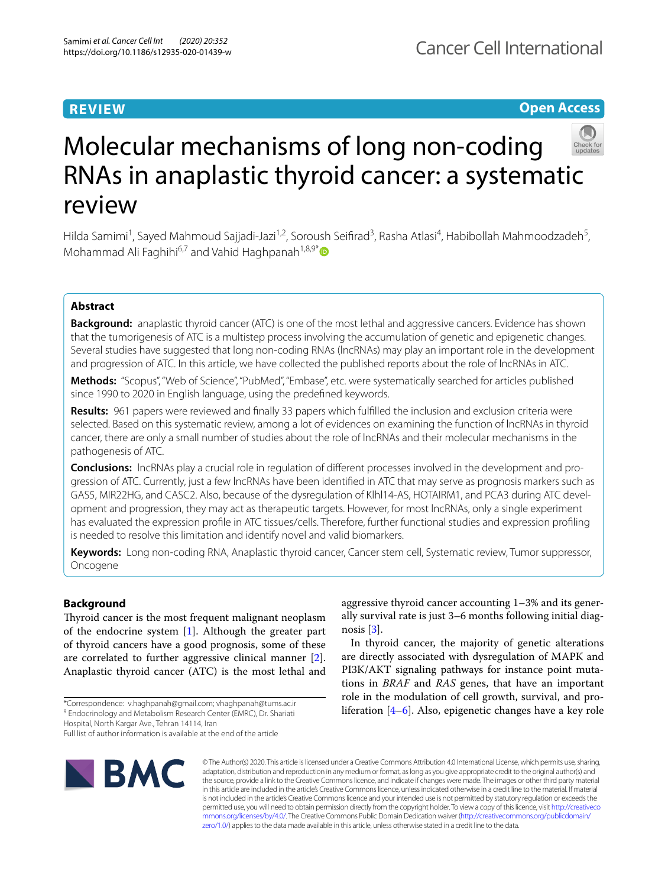# **REVIEW**

# **Open Access**



# Molecular mechanisms of long non-coding RNAs in anaplastic thyroid cancer: a systematic review

Hilda Samimi<sup>1</sup>, Sayed Mahmoud Sajjadi-Jazi<sup>1,2</sup>, Soroush Seifirad<sup>3</sup>, Rasha Atlasi<sup>4</sup>, Habibollah Mahmoodzadeh<sup>5</sup>, Mohammad Ali Faghihi<sup>6,7</sup> and Vahid Haghpanah<sup>1,8,9[\\*](http://orcid.org/0000-0001-8337-0602)</sup>

## **Abstract**

**Background:** anaplastic thyroid cancer (ATC) is one of the most lethal and aggressive cancers. Evidence has shown that the tumorigenesis of ATC is a multistep process involving the accumulation of genetic and epigenetic changes. Several studies have suggested that long non-coding RNAs (lncRNAs) may play an important role in the development and progression of ATC. In this article, we have collected the published reports about the role of lncRNAs in ATC.

**Methods:** "Scopus", "Web of Science", "PubMed", "Embase", etc. were systematically searched for articles published since 1990 to 2020 in English language, using the predefned keywords.

**Results:** 961 papers were reviewed and fnally 33 papers which fulflled the inclusion and exclusion criteria were selected. Based on this systematic review, among a lot of evidences on examining the function of lncRNAs in thyroid cancer, there are only a small number of studies about the role of lncRNAs and their molecular mechanisms in the pathogenesis of ATC.

**Conclusions:** lncRNAs play a crucial role in regulation of diferent processes involved in the development and pro‑ gression of ATC. Currently, just a few lncRNAs have been identifed in ATC that may serve as prognosis markers such as GAS5, MIR22HG, and CASC2. Also, because of the dysregulation of Klhl14-AS, HOTAIRM1, and PCA3 during ATC development and progression, they may act as therapeutic targets. However, for most lncRNAs, only a single experiment has evaluated the expression profle in ATC tissues/cells. Therefore, further functional studies and expression profling is needed to resolve this limitation and identify novel and valid biomarkers.

**Keywords:** Long non-coding RNA, Anaplastic thyroid cancer, Cancer stem cell, Systematic review, Tumor suppressor, Oncogene

## **Background**

Thyroid cancer is the most frequent malignant neoplasm of the endocrine system [[1](#page-11-0)]. Although the greater part of thyroid cancers have a good prognosis, some of these are correlated to further aggressive clinical manner [\[2](#page-11-1)]. Anaplastic thyroid cancer (ATC) is the most lethal and

\*Correspondence: v.haghpanah@gmail.com; vhaghpanah@tums.ac.ir <sup>9</sup> Endocrinology and Metabolism Research Center (EMRC), Dr. Shariati

Hospital, North Kargar Ave., Tehran 14114, Iran

aggressive thyroid cancer accounting 1–3% and its generally survival rate is just 3–6 months following initial diagnosis [\[3](#page-11-2)].

In thyroid cancer, the majority of genetic alterations are directly associated with dysregulation of MAPK and PI3K/AKT signaling pathways for instance point mutations in *BRAF* and *RAS* genes, that have an important role in the modulation of cell growth, survival, and proliferation [\[4–](#page-11-3)[6\]](#page-11-4). Also, epigenetic changes have a key role



© The Author(s) 2020. This article is licensed under a Creative Commons Attribution 4.0 International License, which permits use, sharing, adaptation, distribution and reproduction in any medium or format, as long as you give appropriate credit to the original author(s) and the source, provide a link to the Creative Commons licence, and indicate if changes were made. The images or other third party material in this article are included in the article's Creative Commons licence, unless indicated otherwise in a credit line to the material. If material is not included in the article's Creative Commons licence and your intended use is not permitted by statutory regulation or exceeds the permitted use, you will need to obtain permission directly from the copyright holder. To view a copy of this licence, visit [http://creativeco](http://creativecommons.org/licenses/by/4.0/) [mmons.org/licenses/by/4.0/.](http://creativecommons.org/licenses/by/4.0/) The Creative Commons Public Domain Dedication waiver ([http://creativecommons.org/publicdomain/](http://creativecommons.org/publicdomain/zero/1.0/) [zero/1.0/\)](http://creativecommons.org/publicdomain/zero/1.0/) applies to the data made available in this article, unless otherwise stated in a credit line to the data.

Full list of author information is available at the end of the article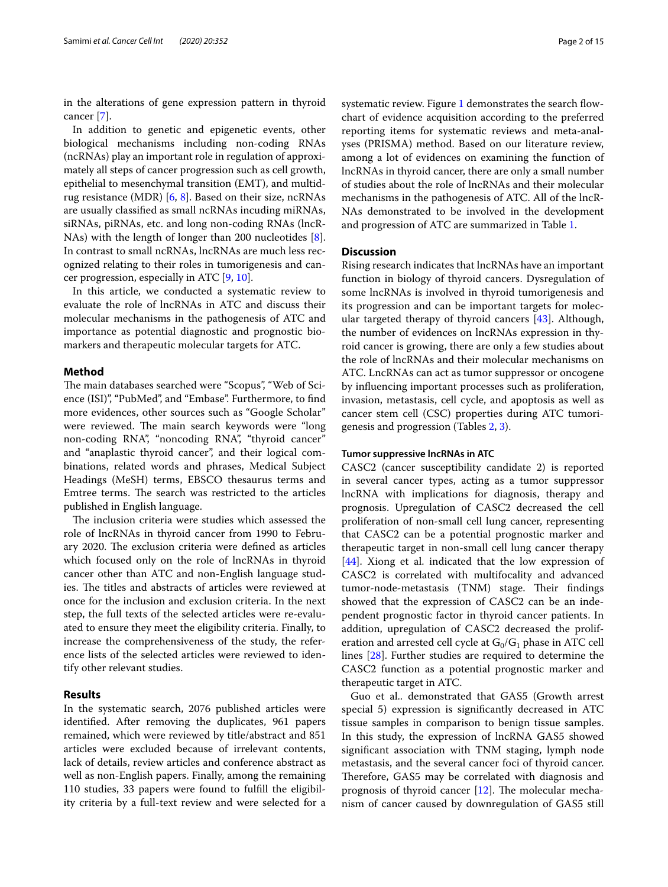in the alterations of gene expression pattern in thyroid cancer [\[7](#page-11-5)].

In addition to genetic and epigenetic events, other biological mechanisms including non-coding RNAs (ncRNAs) play an important role in regulation of approximately all steps of cancer progression such as cell growth, epithelial to mesenchymal transition (EMT), and multidrug resistance (MDR) [[6,](#page-11-4) [8\]](#page-11-6). Based on their size, ncRNAs are usually classifed as small ncRNAs incuding miRNAs, siRNAs, piRNAs, etc. and long non-coding RNAs (lncR-NAs) with the length of longer than 200 nucleotides [\[8](#page-11-6)]. In contrast to small ncRNAs, lncRNAs are much less recognized relating to their roles in tumorigenesis and cancer progression, especially in ATC [\[9](#page-11-7), [10](#page-11-8)].

In this article, we conducted a systematic review to evaluate the role of lncRNAs in ATC and discuss their molecular mechanisms in the pathogenesis of ATC and importance as potential diagnostic and prognostic biomarkers and therapeutic molecular targets for ATC.

## **Method**

The main databases searched were "Scopus", "Web of Science (ISI)", "PubMed", and "Embase". Furthermore, to fnd more evidences, other sources such as "Google Scholar" were reviewed. The main search keywords were "long non-coding RNA", "noncoding RNA", "thyroid cancer" and "anaplastic thyroid cancer", and their logical combinations, related words and phrases, Medical Subject Headings (MeSH) terms, EBSCO thesaurus terms and Emtree terms. The search was restricted to the articles published in English language.

The inclusion criteria were studies which assessed the role of lncRNAs in thyroid cancer from 1990 to February 2020. The exclusion criteria were defined as articles which focused only on the role of lncRNAs in thyroid cancer other than ATC and non-English language studies. The titles and abstracts of articles were reviewed at once for the inclusion and exclusion criteria. In the next step, the full texts of the selected articles were re-evaluated to ensure they meet the eligibility criteria. Finally, to increase the comprehensiveness of the study, the reference lists of the selected articles were reviewed to identify other relevant studies.

### **Results**

In the systematic search, 2076 published articles were identifed. After removing the duplicates, 961 papers remained, which were reviewed by title/abstract and 851 articles were excluded because of irrelevant contents, lack of details, review articles and conference abstract as well as non-English papers. Finally, among the remaining 110 studies, 33 papers were found to fulfll the eligibility criteria by a full-text review and were selected for a systematic review. Figure [1](#page-2-0) demonstrates the search flowchart of evidence acquisition according to the preferred reporting items for systematic reviews and meta-analyses (PRISMA) method. Based on our literature review, among a lot of evidences on examining the function of lncRNAs in thyroid cancer, there are only a small number of studies about the role of lncRNAs and their molecular mechanisms in the pathogenesis of ATC. All of the lncR-NAs demonstrated to be involved in the development and progression of ATC are summarized in Table [1](#page-3-0).

## **Discussion**

Rising research indicates that lncRNAs have an important function in biology of thyroid cancers. Dysregulation of some lncRNAs is involved in thyroid tumorigenesis and its progression and can be important targets for molecular targeted therapy of thyroid cancers [[43\]](#page-12-0). Although, the number of evidences on lncRNAs expression in thyroid cancer is growing, there are only a few studies about the role of lncRNAs and their molecular mechanisms on ATC. LncRNAs can act as tumor suppressor or oncogene by infuencing important processes such as proliferation, invasion, metastasis, cell cycle, and apoptosis as well as cancer stem cell (CSC) properties during ATC tumorigenesis and progression (Tables [2,](#page-5-0) [3](#page-6-0)).

#### **Tumor suppressive lncRNAs in ATC**

CASC2 (cancer susceptibility candidate 2) is reported in several cancer types, acting as a tumor suppressor lncRNA with implications for diagnosis, therapy and prognosis. Upregulation of CASC2 decreased the cell proliferation of non-small cell lung cancer, representing that CASC2 can be a potential prognostic marker and therapeutic target in non-small cell lung cancer therapy [[44\]](#page-12-1). Xiong et al. indicated that the low expression of CASC2 is correlated with multifocality and advanced tumor-node-metastasis (TNM) stage. Their findings showed that the expression of CASC2 can be an independent prognostic factor in thyroid cancer patients. In addition, upregulation of CASC2 decreased the proliferation and arrested cell cycle at  $G_0/G_1$  phase in ATC cell lines [\[28\]](#page-12-2). Further studies are required to determine the CASC2 function as a potential prognostic marker and therapeutic target in ATC.

Guo et al.. demonstrated that GAS5 (Growth arrest special 5) expression is signifcantly decreased in ATC tissue samples in comparison to benign tissue samples. In this study, the expression of lncRNA GAS5 showed signifcant association with TNM staging, lymph node metastasis, and the several cancer foci of thyroid cancer. Therefore, GAS5 may be correlated with diagnosis and prognosis of thyroid cancer  $[12]$ . The molecular mechanism of cancer caused by downregulation of GAS5 still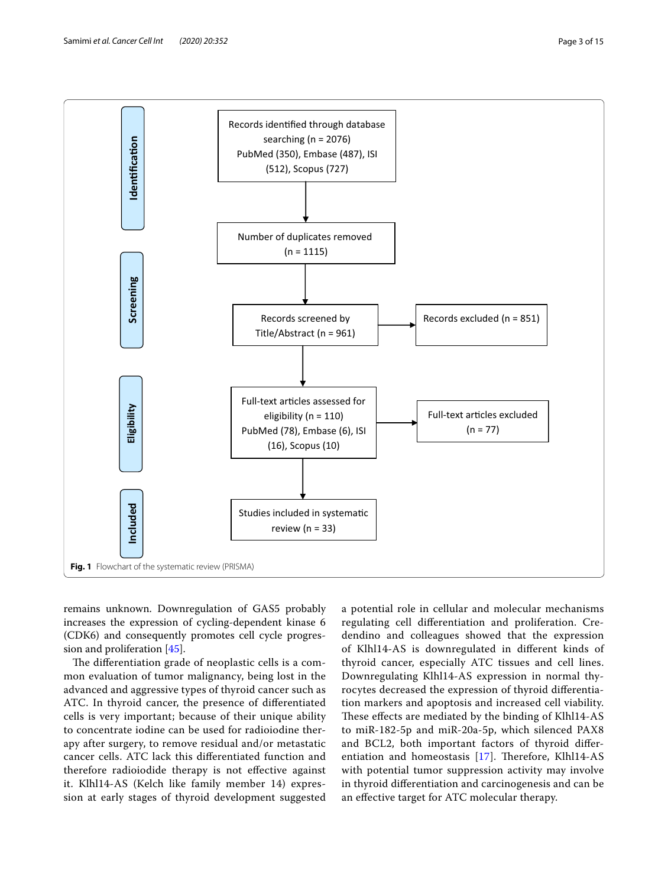

<span id="page-2-0"></span>remains unknown. Downregulation of GAS5 probably increases the expression of cycling-dependent kinase 6 (CDK6) and consequently promotes cell cycle progression and proliferation [\[45](#page-12-3)].

The differentiation grade of neoplastic cells is a common evaluation of tumor malignancy, being lost in the advanced and aggressive types of thyroid cancer such as ATC. In thyroid cancer, the presence of diferentiated cells is very important; because of their unique ability to concentrate iodine can be used for radioiodine therapy after surgery, to remove residual and/or metastatic cancer cells. ATC lack this diferentiated function and therefore radioiodide therapy is not efective against it. Klhl14-AS (Kelch like family member 14) expression at early stages of thyroid development suggested

a potential role in cellular and molecular mechanisms regulating cell diferentiation and proliferation. Credendino and colleagues showed that the expression of Klhl14-AS is downregulated in diferent kinds of thyroid cancer, especially ATC tissues and cell lines. Downregulating Klhl14-AS expression in normal thyrocytes decreased the expression of thyroid diferentiation markers and apoptosis and increased cell viability. These effects are mediated by the binding of Klhl14-AS to miR-182-5p and miR-20a-5p, which silenced PAX8 and BCL2, both important factors of thyroid diferentiation and homeostasis  $[17]$  $[17]$ . Therefore, Klhl14-AS with potential tumor suppression activity may involve in thyroid diferentiation and carcinogenesis and can be an efective target for ATC molecular therapy.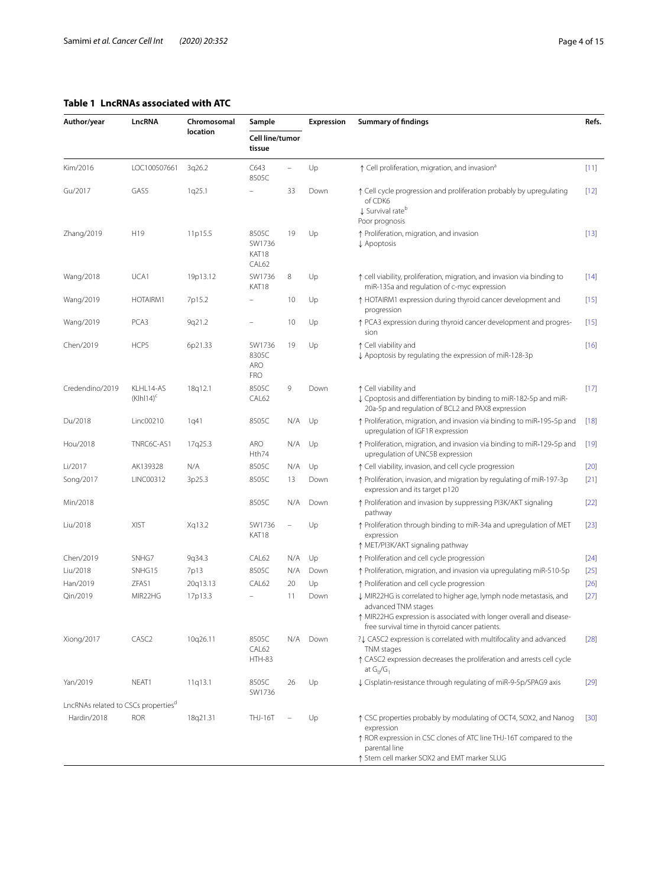## <span id="page-3-0"></span>**Table 1 LncRNAs associated with ATC**

| Author/year                                     | LncRNA                   | Chromosomal<br>location | Sample<br>Cell line/tumor<br>tissue         |                | Expression | <b>Summary of findings</b>                                                                                                                                                                                        |        |
|-------------------------------------------------|--------------------------|-------------------------|---------------------------------------------|----------------|------------|-------------------------------------------------------------------------------------------------------------------------------------------------------------------------------------------------------------------|--------|
|                                                 |                          |                         |                                             |                |            |                                                                                                                                                                                                                   |        |
| Kim/2016                                        | LOC100507661             | 3q26.2                  | C643<br>8505C                               | $\overline{a}$ | Up         | ↑ Cell proliferation, migration, and invasion <sup>a</sup>                                                                                                                                                        | $[11]$ |
| Gu/2017                                         | GAS5                     | 1q25.1                  |                                             | 33             | Down       | ↑ Cell cycle progression and proliferation probably by upregulating<br>of CDK6<br>↓ Survival rate <sup>b</sup><br>Poor prognosis                                                                                  |        |
| Zhang/2019                                      | H <sub>19</sub>          | 11p15.5                 | 8505C<br>SW1736<br>KAT18<br>CAL62           | 19             | Up         | ↑ Proliferation, migration, and invasion<br>↓ Apoptosis                                                                                                                                                           | $[13]$ |
| Wang/2018                                       | UCA1                     | 19p13.12                | SW1736<br>KAT18                             | 8              | Up         | ↑ cell viability, proliferation, migration, and invasion via binding to<br>miR-135a and regulation of c-myc expression                                                                                            |        |
| Wang/2019                                       | HOTAIRM1                 | 7p15.2                  |                                             | 10             | Up         | ↑ HOTAIRM1 expression during thyroid cancer development and<br>progression                                                                                                                                        |        |
| Wang/2019                                       | PCA3                     | 9q21.2                  | $\overline{a}$                              | 10             | Up         | ↑ PCA3 expression during thyroid cancer development and progres-<br>sion                                                                                                                                          |        |
| Chen/2019                                       | HCP5                     | 6p21.33                 | SW1736<br>8305C<br><b>ARO</b><br><b>FRO</b> | 19             | Up         | ↑ Cell viability and<br>↓ Apoptosis by regulating the expression of miR-128-3p<br>↑ Cell viability and                                                                                                            |        |
| Credendino/2019                                 | KLHL14-AS<br>$(KIh14)^c$ | 18q12.1                 | 8505C<br>CAL62                              | 9              | Down       | ↓ Cpoptosis and differentiation by binding to miR-182-5p and miR-<br>20a-5p and regulation of BCL2 and PAX8 expression                                                                                            |        |
| Du/2018                                         | Linc00210                | 1q41                    | 8505C                                       | N/A            | Up         | ↑ Proliferation, migration, and invasion via binding to miR-195-5p and<br>upregulation of IGF1R expression                                                                                                        |        |
| Hou/2018                                        | TNRC6C-AS1               | 17q25.3                 | <b>ARO</b><br>Hth74                         | N/A            | Up         | ↑ Proliferation, migration, and invasion via binding to miR-129-5p and<br>upregulation of UNC5B expression                                                                                                        |        |
| Li/2017                                         | AK139328                 | N/A                     | 8505C                                       | N/A            | Up         | ↑ Cell viability, invasion, and cell cycle progression                                                                                                                                                            |        |
| Song/2017                                       | LINC00312                | 3p25.3                  | 8505C                                       | 13             | Down       | ↑ Proliferation, invasion, and migration by regulating of miR-197-3p<br>expression and its target p120                                                                                                            | $[21]$ |
| Min/2018                                        |                          |                         | 8505C                                       | N/A            | Down       | ↑ Proliferation and invasion by suppressing PI3K/AKT signaling<br>pathway                                                                                                                                         | $[22]$ |
| Liu/2018                                        | <b>XIST</b>              | Xq13.2                  | SW1736<br>KAT18                             |                | Up         | ↑ Proliferation through binding to miR-34a and upregulation of MET<br>expression<br>↑ MET/PI3K/AKT signaling pathway                                                                                              | $[23]$ |
| Chen/2019                                       | SNHG7                    | 9q34.3                  | CAL62                                       | N/A            | Up         | ↑ Proliferation and cell cycle progression                                                                                                                                                                        | $[24]$ |
| Liu/2018                                        | SNHG15                   | 7p13                    | 8505C                                       | N/A            | Down       | ↑ Proliferation, migration, and invasion via upregulating miR-510-5p                                                                                                                                              | $[25]$ |
| Han/2019                                        | ZFAS1                    | 20q13.13                | CAL62                                       | 20             | Up         | ↑ Proliferation and cell cycle progression                                                                                                                                                                        | $[26]$ |
| Qin/2019                                        | MIR22HG                  | 17p13.3                 |                                             | 11             | Down       | ↓ MIR22HG is correlated to higher age, lymph node metastasis, and<br>advanced TNM stages<br>↑ MIR22HG expression is associated with longer overall and disease-<br>free survival time in thyroid cancer patients. | $[27]$ |
| Xiong/2017                                      | CASC <sub>2</sub>        | 10q26.11                | 8505C<br>CAL62<br><b>HTH-83</b>             | N/A            | Down       | ?↓ CASC2 expression is correlated with multifocality and advanced<br>TNM stages<br>↑ CASC2 expression decreases the proliferation and arrests cell cycle<br>at $G_0/G_1$                                          |        |
| Yan/2019                                        | NEAT1                    | 11q13.1                 | 8505C<br>SW1736                             | 26             | Up         | ↓ Cisplatin-resistance through regulating of miR-9-5p/SPAG9 axis                                                                                                                                                  | $[29]$ |
| LncRNAs related to CSCs properties <sup>d</sup> |                          |                         |                                             |                |            |                                                                                                                                                                                                                   |        |
| Hardin/2018                                     | <b>ROR</b>               | 18q21.31                | THJ-16T                                     |                | Up         | ↑ CSC properties probably by modulating of OCT4, SOX2, and Nanog<br>expression<br>↑ ROR expression in CSC clones of ATC line THJ-16T compared to the<br>parental line                                             | $[30]$ |
|                                                 |                          |                         |                                             |                |            | ↑ Stem cell marker SOX2 and EMT marker SLUG                                                                                                                                                                       |        |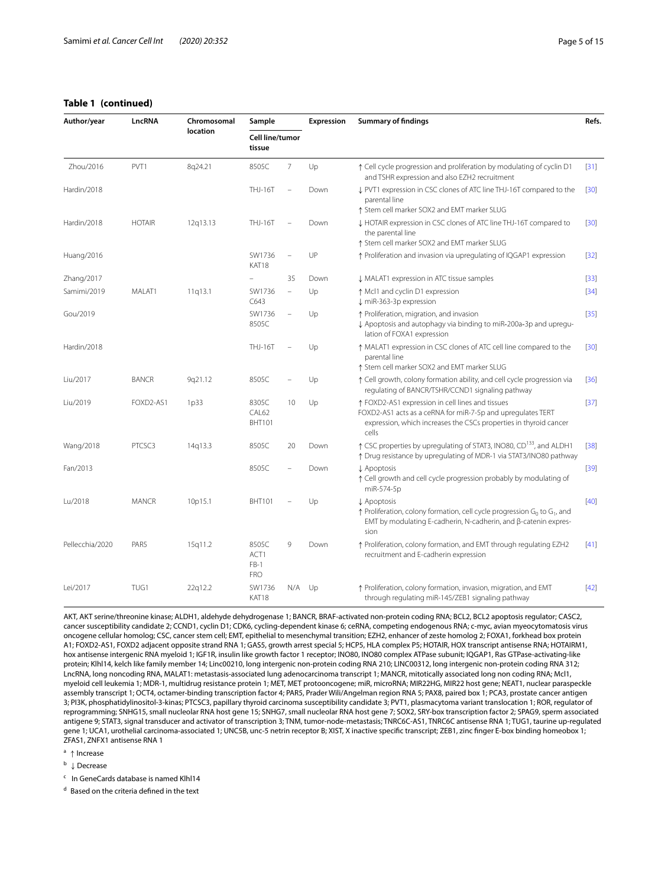## **Table 1 (continued)**

| Author/year     | LncRNA        | Chromosomal<br><b>location</b> | Sample<br>Cell line/tumor<br>tissue   |                          | Expression | <b>Summary of findings</b>                                                                                                                                                                                 |                   |
|-----------------|---------------|--------------------------------|---------------------------------------|--------------------------|------------|------------------------------------------------------------------------------------------------------------------------------------------------------------------------------------------------------------|-------------------|
|                 |               |                                |                                       |                          |            |                                                                                                                                                                                                            |                   |
| Zhou/2016       | PVT1          | 8q24.21                        | 8505C                                 | 7                        | Up         | ↑ Cell cycle progression and proliferation by modulating of cyclin D1<br>and TSHR expression and also EZH2 recruitment                                                                                     | $[31]$            |
| Hardin/2018     |               |                                | <b>THJ-16T</b>                        |                          | Down       | I PVT1 expression in CSC clones of ATC line THJ-16T compared to the<br>parental line                                                                                                                       | $[30]$            |
| Hardin/2018     | <b>HOTAIR</b> | 12q13.13                       | THJ-16T                               |                          | Down       | ↑ Stem cell marker SOX2 and EMT marker SLUG<br>↓ HOTAIR expression in CSC clones of ATC line THJ-16T compared to<br>the parental line<br>↑ Stem cell marker SOX2 and EMT marker SLUG                       | $\left[30\right]$ |
| Huang/2016      |               |                                | SW1736<br>KAT18                       |                          | UP         | ↑ Proliferation and invasion via upregulating of IQGAP1 expression                                                                                                                                         | $[32]$            |
| Zhang/2017      |               |                                |                                       | 35                       | Down       | MALAT1 expression in ATC tissue samples                                                                                                                                                                    | $[33]$            |
| Samimi/2019     | MALAT1        | 11q13.1                        | SW1736<br>C643                        | $\overline{a}$           | Up         | ↑ Mcl1 and cyclin D1 expression<br>↓ miR-363-3p expression                                                                                                                                                 | $[34]$            |
| Gou/2019        |               |                                | SW1736<br>8505C                       | $\overline{\phantom{0}}$ | Up         | ↑ Proliferation, migration, and invasion<br>↓ Apoptosis and autophagy via binding to miR-200a-3p and upregu-<br>lation of FOXA1 expression                                                                 | $[35]$            |
| Hardin/2018     |               |                                | <b>THJ-16T</b>                        |                          | Up         | ↑ MALAT1 expression in CSC clones of ATC cell line compared to the<br>parental line<br>↑ Stem cell marker SOX2 and EMT marker SLUG                                                                         | $\left[30\right]$ |
| Liu/2017        | <b>BANCR</b>  | 9q21.12                        | 8505C                                 |                          | Up         | ↑ Cell growth, colony formation ability, and cell cycle progression via<br>regulating of BANCR/TSHR/CCND1 signaling pathway                                                                                | $[36]$            |
| Liu/2019        | FOXD2-AS1     | 1p33                           | 8305C<br>CAL62<br><b>BHT101</b>       | 10                       | Up         | ↑ FOXD2-AS1 expression in cell lines and tissues<br>FOXD2-AS1 acts as a ceRNA for miR-7-5p and upregulates TERT<br>expression, which increases the CSCs properties in thyroid cancer<br>cells              |                   |
| Wang/2018       | PTCSC3        | 14g13.3                        | 8505C                                 | 20                       | Down       | ↑ CSC properties by upregulating of STAT3, INO80, CD <sup>133</sup> , and ALDH1<br>↑ Drug resistance by upregulating of MDR-1 via STAT3/INO80 pathway                                                      | $[38]$            |
| Fan/2013        |               |                                | 8505C                                 |                          | Down       | ↓ Apoptosis<br>↑ Cell growth and cell cycle progression probably by modulating of<br>miR-574-5p                                                                                                            | $[39]$            |
| Lu/2018         | <b>MANCR</b>  | 10p15.1                        | <b>BHT101</b>                         |                          | Up         | ↓ Apoptosis<br>$\uparrow$ Proliferation, colony formation, cell cycle progression G <sub>0</sub> to G <sub>1</sub> , and<br>EMT by modulating E-cadherin, N-cadherin, and $\beta$ -catenin expres-<br>sion |                   |
| Pellecchia/2020 | PAR5          | 15q11.2                        | 8505C<br>ACT1<br>$FB-1$<br><b>FRO</b> | 9                        | Down       | ↑ Proliferation, colony formation, and EMT through regulating EZH2<br>recruitment and E-cadherin expression                                                                                                |                   |
| Lei/2017        | TUG1          | 22q12.2                        | SW1736<br>KAT18                       | N/A                      | Up         | ↑ Proliferation, colony formation, invasion, migration, and EMT<br>through regulating miR-145/ZEB1 signaling pathway                                                                                       | $[42]$            |

AKT, AKT serine/threonine kinase; ALDH1, aldehyde dehydrogenase 1; BANCR, BRAF-activated non-protein coding RNA; BCL2, BCL2 apoptosis regulator; CASC2, cancer susceptibility candidate 2; CCND1, cyclin D1; CDK6, cycling-dependent kinase 6; ceRNA, competing endogenous RNA; c-myc, avian myeocytomatosis virus oncogene cellular homolog; CSC, cancer stem cell; EMT, epithelial to mesenchymal transition; EZH2, enhancer of zeste homolog 2; FOXA1, forkhead box protein A1; FOXD2-AS1, FOXD2 adjacent opposite strand RNA 1; GAS5, growth arrest special 5; HCP5, HLA complex P5; HOTAIR, HOX transcript antisense RNA; HOTAIRM1, hox antisense intergenic RNA myeloid 1; IGF1R, insulin like growth factor 1 receptor; INO80, INO80 complex ATPase subunit; IQGAP1, Ras GTPase-activating-like protein; Klhl14, kelch like family member 14; Linc00210, long intergenic non-protein coding RNA 210; LINC00312, long intergenic non-protein coding RNA 312; LncRNA, long noncoding RNA, MALAT1: metastasis-associated lung adenocarcinoma transcript 1; MANCR, mitotically associated long non coding RNA; Mcl1, myeloid cell leukemia 1; MDR-1, multidrug resistance protein 1; MET, MET protooncogene; miR, microRNA; MIR22HG, MIR22 host gene; NEAT1, nuclear paraspeckle assembly transcript 1; OCT4, octamer-binding transcription factor 4; PAR5, Prader Wili/Angelman region RNA 5; PAX8, paired box 1; PCA3, prostate cancer antigen 3; PI3K, phosphatidylinositol-3-kinas; PTCSC3, papillary thyroid carcinoma susceptibility candidate 3; PVT1, plasmacytoma variant translocation 1; ROR, regulator of reprogramming; SNHG15, small nucleolar RNA host gene 15; SNHG7, small nucleolar RNA host gene 7; SOX2, SRY-box transcription factor 2; SPAG9, sperm associated antigene 9; STAT3, signal transducer and activator of transcription 3; TNM, tumor-node-metastasis; TNRC6C-AS1, TNRC6C antisense RNA 1; TUG1, taurine up-regulated gene 1; UCA1, urothelial carcinoma-associated 1; UNC5B, unc-5 netrin receptor B; XIST, X inactive specifc transcript; ZEB1, zinc fnger E-box binding homeobox 1; ZFAS1, ZNFX1 antisense RNA 1

<sup>a</sup> <sup>↑</sup> Increase

<sup>b</sup> <sup>↓</sup> Decrease

c In GeneCards database is named Klhl14

<sup>d</sup> Based on the criteria defned in the text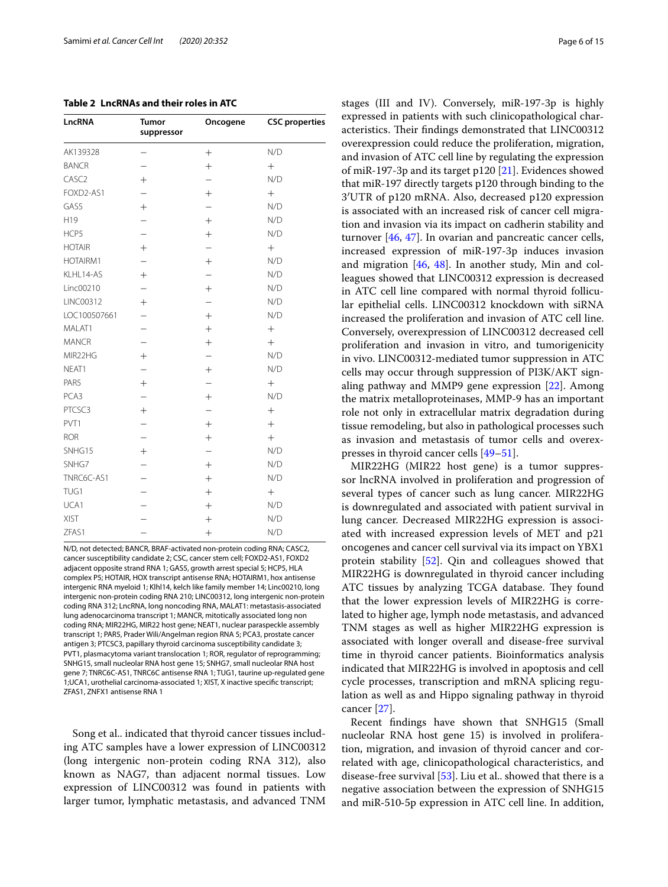<span id="page-5-0"></span>

| LncRNA            | <b>Tumor</b><br>suppressor | Oncogene                 | <b>CSC</b> properties |  |
|-------------------|----------------------------|--------------------------|-----------------------|--|
| AK139328          |                            | $^{+}$                   | N/D                   |  |
| <b>BANCR</b>      |                            | $+$                      | $+$                   |  |
| CASC <sub>2</sub> | $^{+}$                     |                          | N/D                   |  |
| FOXD2-AS1         |                            | $+$                      | $+$                   |  |
| GAS5              | $+$                        |                          | N/D                   |  |
| H19               |                            | $+$                      | N/D                   |  |
| HCP5              | $\overline{\phantom{0}}$   | $^{+}$                   | N/D                   |  |
| <b>HOTAIR</b>     | $^{+}$                     |                          | $+$                   |  |
| HOTAIRM1          | $\overline{\phantom{0}}$   | $^{+}$                   | N/D                   |  |
| KLHL14-AS         | $^{+}$                     | $\overline{\phantom{0}}$ | N/D                   |  |
| Linc00210         |                            | $+$                      | N/D                   |  |
| LINC00312         | $^{+}$                     |                          | N/D                   |  |
| LOC100507661      |                            | $+$                      | N/D                   |  |
| MALAT1            |                            | $+$                      | $+$                   |  |
| <b>MANCR</b>      | $\overline{\phantom{0}}$   | $+$                      | $+$                   |  |
| MIR22HG           | $^{+}$                     |                          | N/D                   |  |
| NEAT1             |                            | $^{+}$                   | N/D                   |  |
| PAR5              | $^{+}$                     |                          | $+$                   |  |
| PCA3              | $\overline{a}$             | $+$                      | N/D                   |  |
| PTCSC3            | $+$                        |                          | $+$                   |  |
| PVT1              |                            | $+$                      | $+$                   |  |
| <b>ROR</b>        |                            | $+$                      | $+$                   |  |
| SNHG15            | $+$                        |                          | N/D                   |  |
| SNHG7             | $\overline{\phantom{0}}$   | $+$                      | N/D                   |  |
| TNRC6C-AS1        |                            | $+$                      | N/D                   |  |
| TUG1              |                            | $+$                      | $^{+}$                |  |
| UCA1              |                            | $+$                      | N/D                   |  |
| <b>XIST</b>       |                            | $^{+}$                   | N/D                   |  |
| ZFAS1             |                            | $^{+}$                   | N/D                   |  |

N/D, not detected; BANCR, BRAF-activated non-protein coding RNA; CASC2, cancer susceptibility candidate 2; CSC, cancer stem cell; FOXD2-AS1, FOXD2 adjacent opposite strand RNA 1; GAS5, growth arrest special 5; HCP5, HLA complex P5; HOTAIR, HOX transcript antisense RNA; HOTAIRM1, hox antisense intergenic RNA myeloid 1; Klhl14, kelch like family member 14; Linc00210, long intergenic non-protein coding RNA 210; LINC00312, long intergenic non-protein coding RNA 312; LncRNA, long noncoding RNA, MALAT1: metastasis-associated lung adenocarcinoma transcript 1; MANCR, mitotically associated long non coding RNA; MIR22HG, MIR22 host gene; NEAT1, nuclear paraspeckle assembly transcript 1; PAR5, Prader Wili/Angelman region RNA 5; PCA3, prostate cancer antigen 3; PTCSC3, papillary thyroid carcinoma susceptibility candidate 3; PVT1, plasmacytoma variant translocation 1; ROR, regulator of reprogramming; SNHG15, small nucleolar RNA host gene 15; SNHG7, small nucleolar RNA host gene 7; TNRC6C-AS1, TNRC6C antisense RNA 1; TUG1, taurine up-regulated gene 1;UCA1, urothelial carcinoma-associated 1; XIST, X inactive specifc transcript; ZFAS1, ZNFX1 antisense RNA 1

Song et al.. indicated that thyroid cancer tissues including ATC samples have a lower expression of LINC00312 (long intergenic non-protein coding RNA 312), also known as NAG7, than adjacent normal tissues. Low expression of LINC00312 was found in patients with larger tumor, lymphatic metastasis, and advanced TNM stages (III and IV). Conversely, miR-197-3p is highly expressed in patients with such clinicopathological characteristics. Their findings demonstrated that LINC00312 overexpression could reduce the proliferation, migration, and invasion of ATC cell line by regulating the expression of miR-197-3p and its target p120 [\[21](#page-12-7)]. Evidences showed that miR-197 directly targets p120 through binding to the 3′UTR of p120 mRNA. Also, decreased p120 expression is associated with an increased risk of cancer cell migration and invasion via its impact on cadherin stability and turnover [[46](#page-12-28), [47](#page-12-29)]. In ovarian and pancreatic cancer cells, increased expression of miR-197-3p induces invasion and migration [\[46](#page-12-28), [48](#page-12-30)]. In another study, Min and colleagues showed that LINC00312 expression is decreased in ATC cell line compared with normal thyroid follicular epithelial cells. LINC00312 knockdown with siRNA increased the proliferation and invasion of ATC cell line. Conversely, overexpression of LINC00312 decreased cell proliferation and invasion in vitro, and tumorigenicity in vivo. LINC00312-mediated tumor suppression in ATC cells may occur through suppression of PI3K/AKT signaling pathway and MMP9 gene expression [\[22](#page-12-8)]. Among the matrix metalloproteinases, MMP-9 has an important role not only in extracellular matrix degradation during tissue remodeling, but also in pathological processes such as invasion and metastasis of tumor cells and overexpresses in thyroid cancer cells [[49](#page-12-31)[–51](#page-12-32)].

MIR22HG (MIR22 host gene) is a tumor suppressor lncRNA involved in proliferation and progression of several types of cancer such as lung cancer. MIR22HG is downregulated and associated with patient survival in lung cancer. Decreased MIR22HG expression is associated with increased expression levels of MET and p21 oncogenes and cancer cell survival via its impact on YBX1 protein stability [\[52](#page-12-33)]. Qin and colleagues showed that MIR22HG is downregulated in thyroid cancer including ATC tissues by analyzing TCGA database. They found that the lower expression levels of MIR22HG is correlated to higher age, lymph node metastasis, and advanced TNM stages as well as higher MIR22HG expression is associated with longer overall and disease-free survival time in thyroid cancer patients. Bioinformatics analysis indicated that MIR22HG is involved in apoptosis and cell cycle processes, transcription and mRNA splicing regulation as well as and Hippo signaling pathway in thyroid cancer [\[27](#page-12-13)].

Recent fndings have shown that SNHG15 (Small nucleolar RNA host gene 15) is involved in proliferation, migration, and invasion of thyroid cancer and correlated with age, clinicopathological characteristics, and disease-free survival  $[53]$ . Liu et al.. showed that there is a negative association between the expression of SNHG15 and miR‐510‐5p expression in ATC cell line. In addition,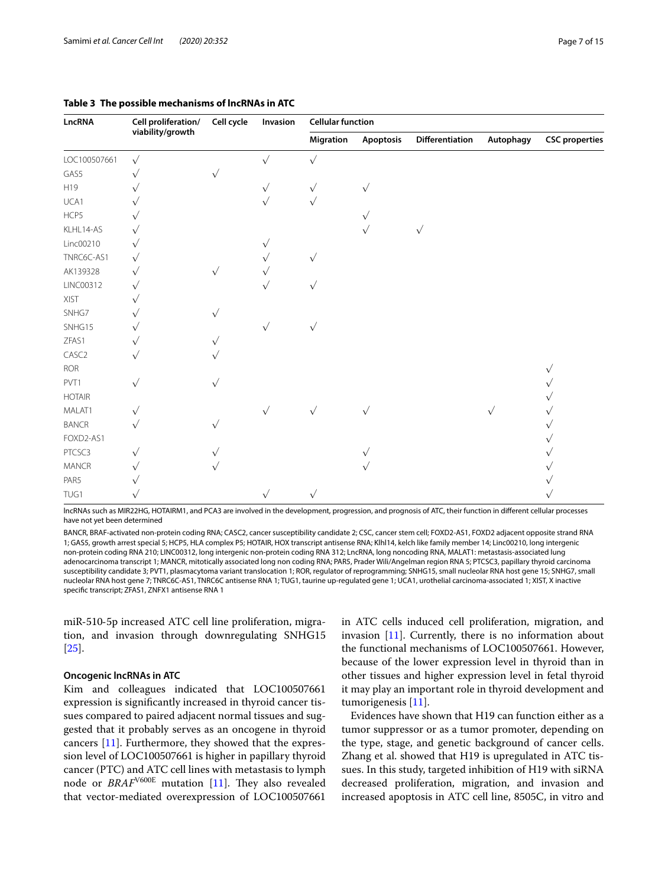| LncRNA        | Cell proliferation/<br>viability/growth | Cell cycle | Invasion  | <b>Cellular function</b> |            |                 |           |                       |  |
|---------------|-----------------------------------------|------------|-----------|--------------------------|------------|-----------------|-----------|-----------------------|--|
|               |                                         |            |           | Migration                | Apoptosis  | Differentiation | Autophagy | <b>CSC</b> properties |  |
| LOC100507661  | $\sqrt{}$                               |            | $\sqrt{}$ | $\sqrt{}$                |            |                 |           |                       |  |
| GAS5          |                                         |            |           |                          |            |                 |           |                       |  |
| H19           |                                         |            | $\sqrt{}$ | $\checkmark$             | $\sqrt{}$  |                 |           |                       |  |
| UCA1          |                                         |            |           |                          |            |                 |           |                       |  |
| HCP5          |                                         |            |           |                          |            |                 |           |                       |  |
| KLHL14-AS     |                                         |            |           |                          | $\sqrt{ }$ | $\sqrt{}$       |           |                       |  |
| Linc00210     |                                         |            |           |                          |            |                 |           |                       |  |
| TNRC6C-AS1    | $\checkmark$                            |            |           | $\sqrt{}$                |            |                 |           |                       |  |
| AK139328      |                                         |            |           |                          |            |                 |           |                       |  |
| LINC00312     |                                         |            |           |                          |            |                 |           |                       |  |
| XIST          |                                         |            |           |                          |            |                 |           |                       |  |
| SNHG7         |                                         | $\sqrt{}$  |           |                          |            |                 |           |                       |  |
| SNHG15        |                                         |            | $\sqrt{}$ | $\sqrt{}$                |            |                 |           |                       |  |
| ZFAS1         | $\sqrt{}$                               |            |           |                          |            |                 |           |                       |  |
| CASC2         |                                         |            |           |                          |            |                 |           |                       |  |
| <b>ROR</b>    |                                         |            |           |                          |            |                 |           |                       |  |
| PVT1          |                                         |            |           |                          |            |                 |           |                       |  |
| <b>HOTAIR</b> |                                         |            |           |                          |            |                 |           |                       |  |
| MALAT1        | $\sqrt{}$                               |            | $\sqrt{}$ | $\sqrt{}$                | $\sqrt{ }$ |                 |           |                       |  |
| <b>BANCR</b>  |                                         | $\sqrt{}$  |           |                          |            |                 |           |                       |  |
| FOXD2-AS1     |                                         |            |           |                          |            |                 |           |                       |  |
| PTCSC3        | $\sqrt{}$                               |            |           |                          |            |                 |           |                       |  |
| MANCR         | $\sqrt{}$                               |            |           |                          |            |                 |           |                       |  |
| PAR5          |                                         |            |           |                          |            |                 |           |                       |  |
| TUG1          |                                         |            |           | $\sqrt{}$                |            |                 |           |                       |  |

#### <span id="page-6-0"></span>**Table 3 The possible mechanisms of lncRNAs in ATC**

lncRNAs such as MIR22HG, HOTAIRM1, and PCA3 are involved in the development, progression, and prognosis of ATC, their function in diferent cellular processes have not yet been determined

BANCR, BRAF-activated non-protein coding RNA; CASC2, cancer susceptibility candidate 2; CSC, cancer stem cell; FOXD2-AS1, FOXD2 adjacent opposite strand RNA 1; GAS5, growth arrest special 5; HCP5, HLA complex P5; HOTAIR, HOX transcript antisense RNA; Klhl14, kelch like family member 14; Linc00210, long intergenic non-protein coding RNA 210; LINC00312, long intergenic non-protein coding RNA 312; LncRNA, long noncoding RNA, MALAT1: metastasis-associated lung adenocarcinoma transcript 1; MANCR, mitotically associated long non coding RNA; PAR5, Prader Wili/Angelman region RNA 5; PTCSC3, papillary thyroid carcinoma susceptibility candidate 3; PVT1, plasmacytoma variant translocation 1; ROR, regulator of reprogramming; SNHG15, small nucleolar RNA host gene 15; SNHG7, small nucleolar RNA host gene 7; TNRC6C-AS1, TNRC6C antisense RNA 1; TUG1, taurine up-regulated gene 1; UCA1, urothelial carcinoma-associated 1; XIST, X inactive specifc transcript; ZFAS1, ZNFX1 antisense RNA 1

miR‐510‐5p increased ATC cell line proliferation, migration, and invasion through downregulating SNHG15 [[25\]](#page-12-11).

#### **Oncogenic lncRNAs in ATC**

Kim and colleagues indicated that LOC100507661 expression is signifcantly increased in thyroid cancer tissues compared to paired adjacent normal tissues and suggested that it probably serves as an oncogene in thyroid cancers [[11\]](#page-11-11). Furthermore, they showed that the expression level of LOC100507661 is higher in papillary thyroid cancer (PTC) and ATC cell lines with metastasis to lymph node or *BRAF<sup>V600E</sup>* mutation [[11\]](#page-11-11). They also revealed that vector-mediated overexpression of LOC100507661 in ATC cells induced cell proliferation, migration, and invasion [\[11](#page-11-11)]. Currently, there is no information about the functional mechanisms of LOC100507661. However, because of the lower expression level in thyroid than in other tissues and higher expression level in fetal thyroid it may play an important role in thyroid development and tumorigenesis [[11\]](#page-11-11).

Evidences have shown that H19 can function either as a tumor suppressor or as a tumor promoter, depending on the type, stage, and genetic background of cancer cells. Zhang et al. showed that H19 is upregulated in ATC tissues. In this study, targeted inhibition of H19 with siRNA decreased proliferation, migration, and invasion and increased apoptosis in ATC cell line, 8505C, in vitro and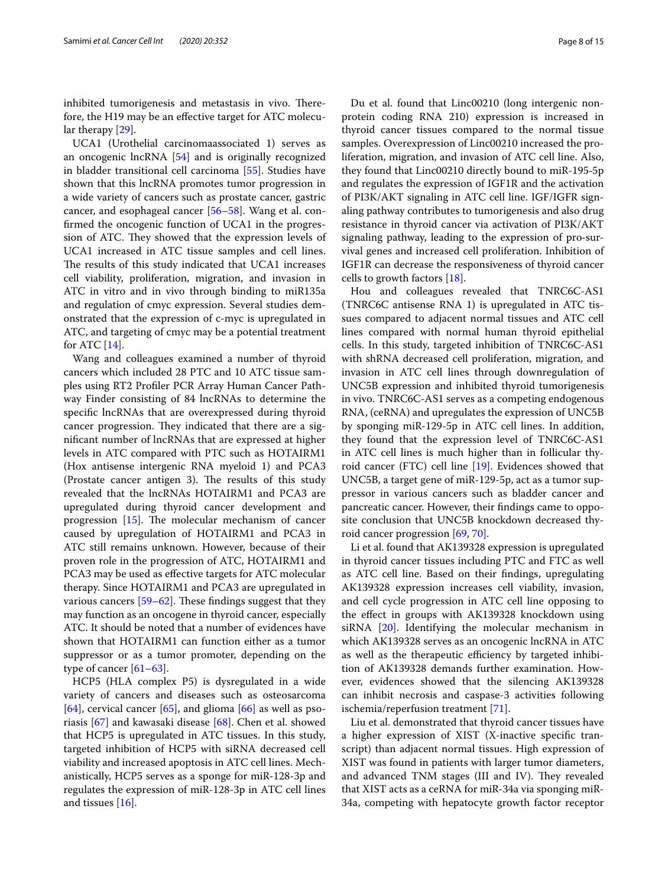inhibited tumorigenesis and metastasis in vivo. Therefore, the H19 may be an efective target for ATC molecular therapy [\[29](#page-12-14)].

UCA1 (Urothelial carcinomaassociated 1) serves as an oncogenic lncRNA [\[54](#page-12-35)] and is originally recognized in bladder transitional cell carcinoma [[55\]](#page-12-36). Studies have shown that this lncRNA promotes tumor progression in a wide variety of cancers such as prostate cancer, gastric cancer, and esophageal cancer [[56–](#page-12-37)[58](#page-12-38)]. Wang et al. confrmed the oncogenic function of UCA1 in the progression of ATC. They showed that the expression levels of UCA1 increased in ATC tissue samples and cell lines. The results of this study indicated that UCA1 increases cell viability, proliferation, migration, and invasion in ATC in vitro and in vivo through binding to miR135a and regulation of cmyc expression. Several studies demonstrated that the expression of c-myc is upregulated in ATC, and targeting of cmyc may be a potential treatment for ATC  $[14]$  $[14]$  $[14]$ .

Wang and colleagues examined a number of thyroid cancers which included 28 PTC and 10 ATC tissue samples using RT2 Profler PCR Array Human Cancer Pathway Finder consisting of 84 lncRNAs to determine the specifc lncRNAs that are overexpressed during thyroid cancer progression. They indicated that there are a signifcant number of lncRNAs that are expressed at higher levels in ATC compared with PTC such as HOTAIRM1 (Hox antisense intergenic RNA myeloid 1) and PCA3 (Prostate cancer antigen 3). The results of this study revealed that the lncRNAs HOTAIRM1 and PCA3 are upregulated during thyroid cancer development and progression  $[15]$  $[15]$  $[15]$ . The molecular mechanism of cancer caused by upregulation of HOTAIRM1 and PCA3 in ATC still remains unknown. However, because of their proven role in the progression of ATC, HOTAIRM1 and PCA3 may be used as efective targets for ATC molecular therapy. Since HOTAIRM1 and PCA3 are upregulated in various cancers  $[59–62]$  $[59–62]$  $[59–62]$  $[59–62]$ . These findings suggest that they may function as an oncogene in thyroid cancer, especially ATC. It should be noted that a number of evidences have shown that HOTAIRM1 can function either as a tumor suppressor or as a tumor promoter, depending on the type of cancer [[61](#page-13-2)[–63](#page-13-3)].

HCP5 (HLA complex P5) is dysregulated in a wide variety of cancers and diseases such as osteosarcoma  $[64]$  $[64]$ , cervical cancer  $[65]$  $[65]$ , and glioma  $[66]$  $[66]$  as well as psoriasis [\[67](#page-13-7)] and kawasaki disease [\[68](#page-13-8)]. Chen et al. showed that HCP5 is upregulated in ATC tissues. In this study, targeted inhibition of HCP5 with siRNA decreased cell viability and increased apoptosis in ATC cell lines. Mechanistically, HCP5 serves as a sponge for miR-128-3p and regulates the expression of miR-128-3p in ATC cell lines and tissues [[16\]](#page-11-15).

Du et al. found that Linc00210 (long intergenic nonprotein coding RNA 210) expression is increased in thyroid cancer tissues compared to the normal tissue samples. Overexpression of Linc00210 increased the proliferation, migration, and invasion of ATC cell line. Also, they found that Linc00210 directly bound to miR-195‐5p and regulates the expression of IGF1R and the activation of PI3K/AKT signaling in ATC cell line. IGF/IGFR signaling pathway contributes to tumorigenesis and also drug resistance in thyroid cancer via activation of PI3K/AKT signaling pathway, leading to the expression of pro‐survival genes and increased cell proliferation. Inhibition of IGF1R can decrease the responsiveness of thyroid cancer cells to growth factors [\[18](#page-12-4)].

Hou and colleagues revealed that TNRC6C-AS1 (TNRC6C antisense RNA 1) is upregulated in ATC tissues compared to adjacent normal tissues and ATC cell lines compared with normal human thyroid epithelial cells. In this study, targeted inhibition of TNRC6C-AS1 with shRNA decreased cell proliferation, migration, and invasion in ATC cell lines through downregulation of UNC5B expression and inhibited thyroid tumorigenesis in vivo. TNRC6C-AS1 serves as a competing endogenous RNA, (ceRNA) and upregulates the expression of UNC5B by sponging miR-129-5p in ATC cell lines. In addition, they found that the expression level of TNRC6C-AS1 in ATC cell lines is much higher than in follicular thyroid cancer (FTC) cell line [\[19](#page-12-5)]. Evidences showed that UNC5B, a target gene of miR-129-5p, act as a tumor suppressor in various cancers such as bladder cancer and pancreatic cancer. However, their fndings came to opposite conclusion that UNC5B knockdown decreased thyroid cancer progression [[69](#page-13-9), [70\]](#page-13-10).

Li et al. found that AK139328 expression is upregulated in thyroid cancer tissues including PTC and FTC as well as ATC cell line. Based on their fndings, upregulating AK139328 expression increases cell viability, invasion, and cell cycle progression in ATC cell line opposing to the efect in groups with AK139328 knockdown using siRNA [[20](#page-12-6)]. Identifying the molecular mechanism in which AK139328 serves as an oncogenic lncRNA in ATC as well as the therapeutic efficiency by targeted inhibition of AK139328 demands further examination. However, evidences showed that the silencing AK139328 can inhibit necrosis and caspase-3 activities following ischemia/reperfusion treatment [\[71\]](#page-13-11).

Liu et al. demonstrated that thyroid cancer tissues have a higher expression of XIST (X-inactive specifc transcript) than adjacent normal tissues. High expression of XIST was found in patients with larger tumor diameters, and advanced TNM stages (III and IV). They revealed that XIST acts as a ceRNA for miR-34a via sponging miR-34a, competing with hepatocyte growth factor receptor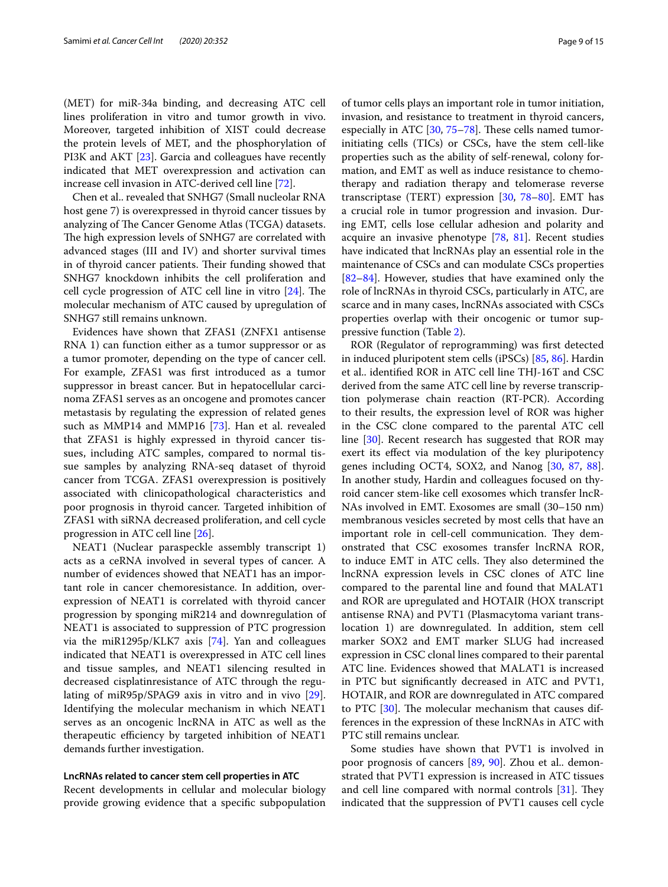(MET) for miR-34a binding, and decreasing ATC cell lines proliferation in vitro and tumor growth in vivo. Moreover, targeted inhibition of XIST could decrease the protein levels of MET, and the phosphorylation of PI3K and AKT [[23](#page-12-9)]. Garcia and colleagues have recently indicated that MET overexpression and activation can increase cell invasion in ATC-derived cell line [\[72](#page-13-12)].

Chen et al.. revealed that SNHG7 (Small nucleolar RNA host gene 7) is overexpressed in thyroid cancer tissues by analyzing of The Cancer Genome Atlas (TCGA) datasets. The high expression levels of SNHG7 are correlated with advanced stages (III and IV) and shorter survival times in of thyroid cancer patients. Their funding showed that SNHG7 knockdown inhibits the cell proliferation and cell cycle progression of ATC cell line in vitro  $[24]$  $[24]$  $[24]$ . The molecular mechanism of ATC caused by upregulation of SNHG7 still remains unknown.

Evidences have shown that ZFAS1 (ZNFX1 antisense RNA 1) can function either as a tumor suppressor or as a tumor promoter, depending on the type of cancer cell. For example, ZFAS1 was frst introduced as a tumor suppressor in breast cancer. But in hepatocellular carcinoma ZFAS1 serves as an oncogene and promotes cancer metastasis by regulating the expression of related genes such as MMP14 and MMP16 [\[73](#page-13-13)]. Han et al. revealed that ZFAS1 is highly expressed in thyroid cancer tissues, including ATC samples, compared to normal tissue samples by analyzing RNA-seq dataset of thyroid cancer from TCGA. ZFAS1 overexpression is positively associated with clinicopathological characteristics and poor prognosis in thyroid cancer. Targeted inhibition of ZFAS1 with siRNA decreased proliferation, and cell cycle progression in ATC cell line [[26\]](#page-12-12).

NEAT1 (Nuclear paraspeckle assembly transcript 1) acts as a ceRNA involved in several types of cancer. A number of evidences showed that NEAT1 has an important role in cancer chemoresistance. In addition, overexpression of NEAT1 is correlated with thyroid cancer progression by sponging miR214 and downregulation of NEAT1 is associated to suppression of PTC progression via the miR1295p/KLK7 axis [[74\]](#page-13-14). Yan and colleagues indicated that NEAT1 is overexpressed in ATC cell lines and tissue samples, and NEAT1 silencing resulted in decreased cisplatinresistance of ATC through the regulating of miR95p/SPAG9 axis in vitro and in vivo [\[29](#page-12-14)]. Identifying the molecular mechanism in which NEAT1 serves as an oncogenic lncRNA in ATC as well as the therapeutic efficiency by targeted inhibition of NEAT1 demands further investigation.

#### **LncRNAs related to cancer stem cell properties in ATC**

Recent developments in cellular and molecular biology provide growing evidence that a specifc subpopulation of tumor cells plays an important role in tumor initiation, invasion, and resistance to treatment in thyroid cancers, especially in ATC  $[30, 75-78]$  $[30, 75-78]$  $[30, 75-78]$ . These cells named tumorinitiating cells (TICs) or CSCs, have the stem cell-like properties such as the ability of self-renewal, colony formation, and EMT as well as induce resistance to chemotherapy and radiation therapy and telomerase reverse transcriptase (TERT) expression [[30,](#page-12-15) [78–](#page-13-16)[80\]](#page-13-17). EMT has a crucial role in tumor progression and invasion. During EMT, cells lose cellular adhesion and polarity and acquire an invasive phenotype [[78](#page-13-16), [81\]](#page-13-18). Recent studies have indicated that lncRNAs play an essential role in the maintenance of CSCs and can modulate CSCs properties [[82–](#page-13-19)[84\]](#page-13-20). However, studies that have examined only the role of lncRNAs in thyroid CSCs, particularly in ATC, are scarce and in many cases, lncRNAs associated with CSCs properties overlap with their oncogenic or tumor suppressive function (Table [2\)](#page-5-0).

ROR (Regulator of reprogramming) was frst detected in induced pluripotent stem cells (iPSCs) [\[85](#page-13-21), [86\]](#page-13-22). Hardin et al.. identifed ROR in ATC cell line THJ-16T and CSC derived from the same ATC cell line by reverse transcription polymerase chain reaction (RT-PCR). According to their results, the expression level of ROR was higher in the CSC clone compared to the parental ATC cell line [[30\]](#page-12-15). Recent research has suggested that ROR may exert its efect via modulation of the key pluripotency genes including OCT4, SOX2, and Nanog [\[30,](#page-12-15) [87](#page-13-23), [88](#page-13-24)]. In another study, Hardin and colleagues focused on thyroid cancer stem-like cell exosomes which transfer lncR-NAs involved in EMT. Exosomes are small (30–150 nm) membranous vesicles secreted by most cells that have an important role in cell-cell communication. They demonstrated that CSC exosomes transfer lncRNA ROR, to induce EMT in ATC cells. They also determined the lncRNA expression levels in CSC clones of ATC line compared to the parental line and found that MALAT1 and ROR are upregulated and HOTAIR (HOX transcript antisense RNA) and PVT1 (Plasmacytoma variant translocation 1) are downregulated. In addition, stem cell marker SOX2 and EMT marker SLUG had increased expression in CSC clonal lines compared to their parental ATC line. Evidences showed that MALAT1 is increased in PTC but signifcantly decreased in ATC and PVT1, HOTAIR, and ROR are downregulated in ATC compared to PTC  $[30]$  $[30]$ . The molecular mechanism that causes differences in the expression of these lncRNAs in ATC with PTC still remains unclear.

Some studies have shown that PVT1 is involved in poor prognosis of cancers [\[89](#page-13-25), [90\]](#page-13-26). Zhou et al.. demonstrated that PVT1 expression is increased in ATC tissues and cell line compared with normal controls  $[31]$  $[31]$  $[31]$ . They indicated that the suppression of PVT1 causes cell cycle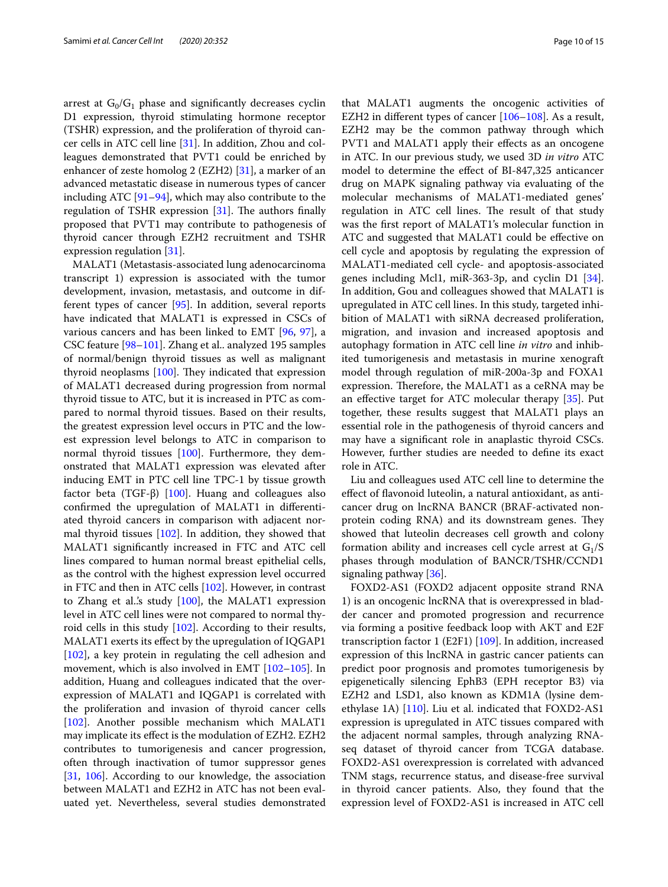arrest at  $G_0/G_1$  phase and significantly decreases cyclin D1 expression, thyroid stimulating hormone receptor (TSHR) expression, and the proliferation of thyroid cancer cells in ATC cell line [\[31](#page-12-16)]. In addition, Zhou and colleagues demonstrated that PVT1 could be enriched by enhancer of zeste homolog 2 (EZH2)  $[31]$  $[31]$ , a marker of an advanced metastatic disease in numerous types of cancer including ATC  $[91–94]$  $[91–94]$  $[91–94]$  $[91–94]$ , which may also contribute to the regulation of TSHR expression  $[31]$ . The authors finally proposed that PVT1 may contribute to pathogenesis of thyroid cancer through EZH2 recruitment and TSHR expression regulation [[31\]](#page-12-16).

MALAT1 (Metastasis-associated lung adenocarcinoma transcript 1) expression is associated with the tumor development, invasion, metastasis, and outcome in different types of cancer [\[95](#page-13-29)]. In addition, several reports have indicated that MALAT1 is expressed in CSCs of various cancers and has been linked to EMT [[96,](#page-13-30) [97](#page-13-31)], a CSC feature [[98](#page-13-32)[–101](#page-13-33)]. Zhang et al.. analyzed 195 samples of normal/benign thyroid tissues as well as malignant thyroid neoplasms  $[100]$  $[100]$  $[100]$ . They indicated that expression of MALAT1 decreased during progression from normal thyroid tissue to ATC, but it is increased in PTC as compared to normal thyroid tissues. Based on their results, the greatest expression level occurs in PTC and the lowest expression level belongs to ATC in comparison to normal thyroid tissues [\[100](#page-13-34)]. Furthermore, they demonstrated that MALAT1 expression was elevated after inducing EMT in PTC cell line TPC-1 by tissue growth factor beta (TGF-β) [\[100\]](#page-13-34). Huang and colleagues also confrmed the upregulation of MALAT1 in diferentiated thyroid cancers in comparison with adjacent normal thyroid tissues [[102](#page-13-35)]. In addition, they showed that MALAT1 signifcantly increased in FTC and ATC cell lines compared to human normal breast epithelial cells, as the control with the highest expression level occurred in FTC and then in ATC cells [[102\]](#page-13-35). However, in contrast to Zhang et al.'s study  $[100]$ , the MALAT1 expression level in ATC cell lines were not compared to normal thyroid cells in this study [[102\]](#page-13-35). According to their results, MALAT1 exerts its efect by the upregulation of IQGAP1 [[102\]](#page-13-35), a key protein in regulating the cell adhesion and movement, which is also involved in EMT [\[102–](#page-13-35)[105](#page-14-0)]. In addition, Huang and colleagues indicated that the overexpression of MALAT1 and IQGAP1 is correlated with the proliferation and invasion of thyroid cancer cells [[102\]](#page-13-35). Another possible mechanism which MALAT1 may implicate its efect is the modulation of EZH2. EZH2 contributes to tumorigenesis and cancer progression, often through inactivation of tumor suppressor genes [[31,](#page-12-16) [106\]](#page-14-1). According to our knowledge, the association between MALAT1 and EZH2 in ATC has not been evaluated yet. Nevertheless, several studies demonstrated that MALAT1 augments the oncogenic activities of EZH2 in diferent types of cancer [[106](#page-14-1)[–108\]](#page-14-2). As a result, EZH2 may be the common pathway through which PVT1 and MALAT1 apply their efects as an oncogene in ATC. In our previous study, we used 3D *in vitro* ATC model to determine the efect of BI-847,325 anticancer drug on MAPK signaling pathway via evaluating of the molecular mechanisms of MALAT1-mediated genes' regulation in ATC cell lines. The result of that study was the frst report of MALAT1's molecular function in ATC and suggested that MALAT1 could be efective on cell cycle and apoptosis by regulating the expression of MALAT1-mediated cell cycle- and apoptosis-associated genes including Mcl1, miR-363-3p, and cyclin D1 [\[34](#page-12-19)]. In addition, Gou and colleagues showed that MALAT1 is upregulated in ATC cell lines. In this study, targeted inhibition of MALAT1 with siRNA decreased proliferation, migration, and invasion and increased apoptosis and autophagy formation in ATC cell line *in vitro* and inhibited tumorigenesis and metastasis in murine xenograft model through regulation of miR-200a-3p and FOXA1 expression. Therefore, the MALAT1 as a ceRNA may be an efective target for ATC molecular therapy [\[35](#page-12-20)]. Put together, these results suggest that MALAT1 plays an essential role in the pathogenesis of thyroid cancers and may have a signifcant role in anaplastic thyroid CSCs. However, further studies are needed to defne its exact role in ATC.

Liu and colleagues used ATC cell line to determine the efect of favonoid luteolin, a natural antioxidant, as anticancer drug on lncRNA BANCR (BRAF-activated nonprotein coding RNA) and its downstream genes. They showed that luteolin decreases cell growth and colony formation ability and increases cell cycle arrest at  $G_1/S$ phases through modulation of BANCR/TSHR/CCND1 signaling pathway [\[36\]](#page-12-21).

FOXD2-AS1 (FOXD2 adjacent opposite strand RNA 1) is an oncogenic lncRNA that is overexpressed in bladder cancer and promoted progression and recurrence via forming a positive feedback loop with AKT and E2F transcription factor 1 (E2F1) [[109\]](#page-14-3). In addition, increased expression of this lncRNA in gastric cancer patients can predict poor prognosis and promotes tumorigenesis by epigenetically silencing EphB3 (EPH receptor B3) via EZH2 and LSD1, also known as KDM1A (lysine demethylase 1A) [\[110](#page-14-4)]. Liu et al. indicated that FOXD2-AS1 expression is upregulated in ATC tissues compared with the adjacent normal samples, through analyzing RNAseq dataset of thyroid cancer from TCGA database. FOXD2-AS1 overexpression is correlated with advanced TNM stags, recurrence status, and disease-free survival in thyroid cancer patients. Also, they found that the expression level of FOXD2-AS1 is increased in ATC cell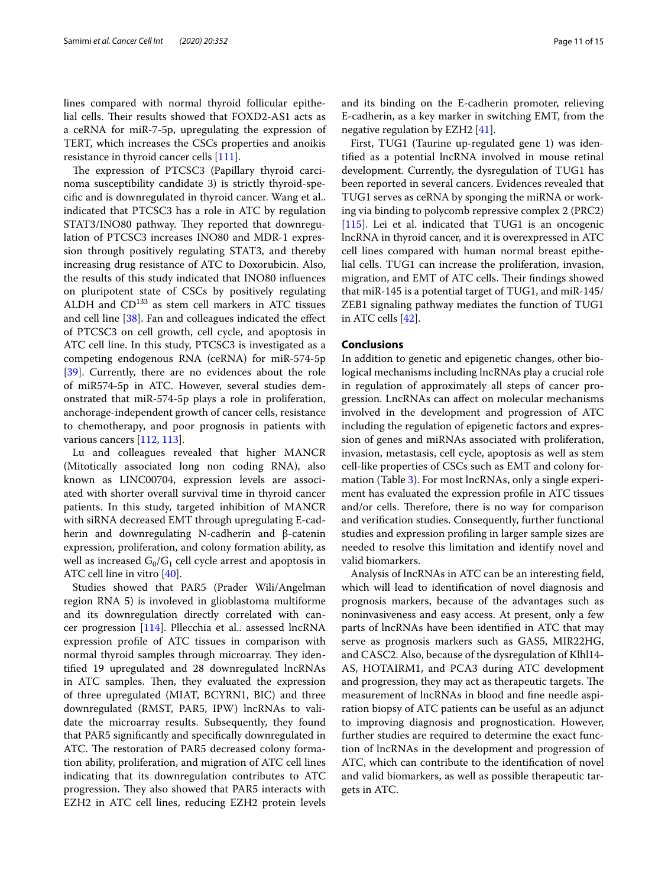lines compared with normal thyroid follicular epithelial cells. Their results showed that FOXD2-AS1 acts as a ceRNA for miR-7-5p, upregulating the expression of TERT, which increases the CSCs properties and anoikis resistance in thyroid cancer cells [[111](#page-14-5)].

The expression of PTCSC3 (Papillary thyroid carcinoma susceptibility candidate 3) is strictly thyroid-specifc and is downregulated in thyroid cancer. Wang et al.. indicated that PTCSC3 has a role in ATC by regulation STAT3/INO80 pathway. They reported that downregulation of PTCSC3 increases INO80 and MDR-1 expression through positively regulating STAT3, and thereby increasing drug resistance of ATC to Doxorubicin. Also, the results of this study indicated that INO80 infuences on pluripotent state of CSCs by positively regulating ALDH and  $CD^{133}$  as stem cell markers in ATC tissues and cell line [[38](#page-12-23)]. Fan and colleagues indicated the efect of PTCSC3 on cell growth, cell cycle, and apoptosis in ATC cell line. In this study, PTCSC3 is investigated as a competing endogenous RNA (ceRNA) for miR-574-5p [[39\]](#page-12-24). Currently, there are no evidences about the role of miR574-5p in ATC. However, several studies demonstrated that miR-574-5p plays a role in proliferation, anchorage-independent growth of cancer cells, resistance to chemotherapy, and poor prognosis in patients with various cancers [\[112,](#page-14-6) [113](#page-14-7)].

Lu and colleagues revealed that higher MANCR (Mitotically associated long non coding RNA), also known as LINC00704, expression levels are associated with shorter overall survival time in thyroid cancer patients. In this study, targeted inhibition of MANCR with siRNA decreased EMT through upregulating E-cadherin and downregulating N-cadherin and β-catenin expression, proliferation, and colony formation ability, as well as increased  $G_0/G_1$  cell cycle arrest and apoptosis in ATC cell line in vitro [\[40\]](#page-12-25).

Studies showed that PAR5 (Prader Wili/Angelman region RNA 5) is involeved in glioblastoma multiforme and its downregulation directly correlated with cancer progression [\[114\]](#page-14-8). Pllecchia et al.. assessed lncRNA expression profle of ATC tissues in comparison with normal thyroid samples through microarray. They identifed 19 upregulated and 28 downregulated lncRNAs in ATC samples. Then, they evaluated the expression of three upregulated (MIAT, BCYRN1, BIC) and three downregulated (RMST, PAR5, IPW) lncRNAs to validate the microarray results. Subsequently, they found that PAR5 signifcantly and specifcally downregulated in ATC. The restoration of PAR5 decreased colony formation ability, proliferation, and migration of ATC cell lines indicating that its downregulation contributes to ATC progression. They also showed that PAR5 interacts with EZH2 in ATC cell lines, reducing EZH2 protein levels and its binding on the E-cadherin promoter, relieving E-cadherin, as a key marker in switching EMT, from the negative regulation by EZH2 [\[41\]](#page-12-26).

First, TUG1 (Taurine up-regulated gene 1) was identifed as a potential lncRNA involved in mouse retinal development. Currently, the dysregulation of TUG1 has been reported in several cancers. Evidences revealed that TUG1 serves as ceRNA by sponging the miRNA or working via binding to polycomb repressive complex 2 (PRC2) [[115\]](#page-14-9). Lei et al. indicated that TUG1 is an oncogenic lncRNA in thyroid cancer, and it is overexpressed in ATC cell lines compared with human normal breast epithelial cells. TUG1 can increase the proliferation, invasion, migration, and EMT of ATC cells. Their findings showed that miR-145 is a potential target of TUG1, and miR-145/ ZEB1 signaling pathway mediates the function of TUG1 in ATC cells [[42\]](#page-12-27).

#### **Conclusions**

In addition to genetic and epigenetic changes, other biological mechanisms including lncRNAs play a crucial role in regulation of approximately all steps of cancer progression. LncRNAs can afect on molecular mechanisms involved in the development and progression of ATC including the regulation of epigenetic factors and expression of genes and miRNAs associated with proliferation, invasion, metastasis, cell cycle, apoptosis as well as stem cell-like properties of CSCs such as EMT and colony formation (Table [3\)](#page-6-0). For most lncRNAs, only a single experiment has evaluated the expression profle in ATC tissues and/or cells. Therefore, there is no way for comparison and verifcation studies. Consequently, further functional studies and expression profling in larger sample sizes are needed to resolve this limitation and identify novel and valid biomarkers.

Analysis of lncRNAs in ATC can be an interesting feld, which will lead to identifcation of novel diagnosis and prognosis markers, because of the advantages such as noninvasiveness and easy access. At present, only a few parts of lncRNAs have been identifed in ATC that may serve as prognosis markers such as GAS5, MIR22HG, and CASC2. Also, because of the dysregulation of Klhl14- AS, HOTAIRM1, and PCA3 during ATC development and progression, they may act as therapeutic targets. The measurement of lncRNAs in blood and fne needle aspiration biopsy of ATC patients can be useful as an adjunct to improving diagnosis and prognostication. However, further studies are required to determine the exact function of lncRNAs in the development and progression of ATC, which can contribute to the identifcation of novel and valid biomarkers, as well as possible therapeutic targets in ATC.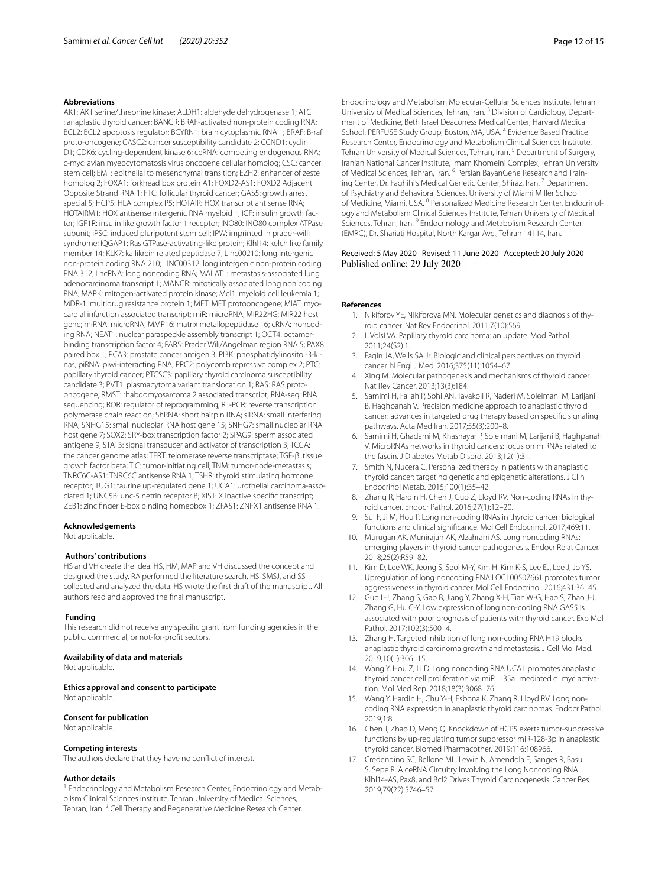#### **Abbreviations**

AKT: AKT serine/threonine kinase; ALDH1: aldehyde dehydrogenase 1; ATC : anaplastic thyroid cancer; BANCR: BRAF-activated non-protein coding RNA; BCL2: BCL2 apoptosis regulator; BCYRN1: brain cytoplasmic RNA 1; BRAF: B-raf proto-oncogene; CASC2: cancer susceptibility candidate 2; CCND1: cyclin D1; CDK6: cycling-dependent kinase 6; ceRNA: competing endogenous RNA; c-myc: avian myeocytomatosis virus oncogene cellular homolog; CSC: cancer stem cell; EMT: epithelial to mesenchymal transition; EZH2: enhancer of zeste homolog 2; FOXA1: forkhead box protein A1; FOXD2-AS1: FOXD2 Adjacent Opposite Strand RNA 1; FTC: follicular thyroid cancer; GAS5: growth arrest special 5; HCP5: HLA complex P5; HOTAIR: HOX transcript antisense RNA; HOTAIRM1: HOX antisense intergenic RNA myeloid 1; IGF: insulin growth factor; IGF1R: insulin like growth factor 1 receptor; INO80: INO80 complex ATPase subunit; iPSC: induced pluripotent stem cell; IPW: imprinted in prader-willi syndrome; IQGAP1: Ras GTPase-activating-like protein; Klhl14: kelch like family member 14; KLK7: kallikrein related peptidase 7; Linc00210: long intergenic non-protein coding RNA 210; LINC00312: long intergenic non-protein coding RNA 312; LncRNA: long noncoding RNA; MALAT1: metastasis-associated lung adenocarcinoma transcript 1; MANCR: mitotically associated long non coding RNA; MAPK: mitogen-activated protein kinase; Mcl1: myeloid cell leukemia 1; MDR-1: multidrug resistance protein 1; MET: MET protooncogene; MIAT: myocardial infarction associated transcript; miR: microRNA; MIR22HG: MIR22 host gene; miRNA: microRNA; MMP16: matrix metallopeptidase 16; cRNA: noncoding RNA; NEAT1: nuclear paraspeckle assembly transcript 1; OCT4: octamerbinding transcription factor 4; PAR5: Prader Wili/Angelman region RNA 5; PAX8: paired box 1; PCA3: prostate cancer antigen 3; PI3K: phosphatidylinositol-3-kinas; piRNA: piwi-interacting RNA; PRC2: polycomb repressive complex 2; PTC: papillary thyroid cancer; PTCSC3: papillary thyroid carcinoma susceptibility candidate 3; PVT1: plasmacytoma variant translocation 1; RAS: RAS protooncogene; RMST: rhabdomyosarcoma 2 associated transcript; RNA-seq: RNA sequencing; ROR: regulator of reprogramming; RT-PCR: reverse transcription polymerase chain reaction; ShRNA: short hairpin RNA; siRNA: small interfering RNA; SNHG15: small nucleolar RNA host gene 15; SNHG7: small nucleolar RNA host gene 7; SOX2: SRY-box transcription factor 2; SPAG9: sperm associated antigene 9; STAT3: signal transducer and activator of transcription 3; TCGA: the cancer genome atlas; TERT: telomerase reverse transcriptase; TGF-β: tissue growth factor beta; TIC: tumor-initiating cell; TNM: tumor-node-metastasis; TNRC6C-AS1: TNRC6C antisense RNA 1; TSHR: thyroid stimulating hormone receptor; TUG1: taurine up-regulated gene 1; UCA1: urothelial carcinoma-associated 1; UNC5B: unc-5 netrin receptor B; XIST: X inactive specifc transcript; ZEB1: zinc fnger E-box binding homeobox 1; ZFAS1: ZNFX1 antisense RNA 1.

#### **Acknowledgements**

Not applicable.

#### **Authors' contributions**

HS and VH create the idea. HS, HM, MAF and VH discussed the concept and designed the study. RA performed the literature search. HS, SMSJ, and SS collected and analyzed the data. HS wrote the frst draft of the manuscript. All authors read and approved the fnal manuscript.

#### **Funding**

This research did not receive any specifc grant from funding agencies in the public, commercial, or not-for-proft sectors.

#### **Availability of data and materials**

Not applicable.

**Ethics approval and consent to participate** Not applicable.

#### **Consent for publication**

Not applicable.

#### **Competing interests**

The authors declare that they have no confict of interest.

#### **Author details**

<sup>1</sup> Endocrinology and Metabolism Research Center, Endocrinology and Metabolism Clinical Sciences Institute, Tehran University of Medical Sciences, Tehran, Iran.<sup>2</sup> Cell Therapy and Regenerative Medicine Research Center,

Endocrinology and Metabolism Molecular‑Cellular Sciences Institute, Tehran University of Medical Sciences, Tehran, Iran.<sup>3</sup> Division of Cardiology, Department of Medicine, Beth Israel Deaconess Medical Center, Harvard Medical School, PERFUSE Study Group, Boston, MA, USA. 4 Evidence Based Practice Research Center, Endocrinology and Metabolism Clinical Sciences Institute, Tehran University of Medical Sciences, Tehran, Iran.<sup>5</sup> Department of Surgery, Iranian National Cancer Institute, Imam Khomeini Complex, Tehran University of Medical Sciences, Tehran, Iran. <sup>6</sup> Persian BayanGene Research and Training Center, Dr. Faghihi's Medical Genetic Center, Shiraz, Iran. 7 Department of Psychiatry and Behavioral Sciences, University of Miami Miller School of Medicine, Miami, USA. <sup>8</sup> Personalized Medicine Research Center, Endocrinology and Metabolism Clinical Sciences Institute, Tehran University of Medical Sciences, Tehran, Iran.<sup>9</sup> Endocrinology and Metabolism Research Center (EMRC), Dr. Shariati Hospital, North Kargar Ave., Tehran 14114, Iran.

#### Received: 5 May 2020 Revised: 11 June 2020 Accepted: 20 July 2020 Published online: 29 July 2020

#### <span id="page-11-0"></span>**References**

- 1. Nikiforov YE, Nikiforova MN. Molecular genetics and diagnosis of thyroid cancer. Nat Rev Endocrinol. 2011;7(10):569.
- <span id="page-11-1"></span>2. LiVolsi VA. Papillary thyroid carcinoma: an update. Mod Pathol. 2011;24(S2):1.
- <span id="page-11-2"></span>3. Fagin JA, Wells SA Jr. Biologic and clinical perspectives on thyroid cancer. N Engl J Med. 2016;375(11):1054–67.
- <span id="page-11-3"></span>4. Xing M. Molecular pathogenesis and mechanisms of thyroid cancer. Nat Rev Cancer. 2013;13(3):184.
- 5. Samimi H, Fallah P, Sohi AN, Tavakoli R, Naderi M, Soleimani M, Larijani B, Haghpanah V. Precision medicine approach to anaplastic thyroid cancer: advances in targeted drug therapy based on specifc signaling pathways. Acta Med Iran. 2017;55(3):200–8.
- <span id="page-11-4"></span>6. Samimi H, Ghadami M, Khashayar P, Soleimani M, Larijani B, Haghpanah V. MicroRNAs networks in thyroid cancers: focus on miRNAs related to the fascin. J Diabetes Metab Disord. 2013;12(1):31.
- <span id="page-11-5"></span>7. Smith N, Nucera C. Personalized therapy in patients with anaplastic thyroid cancer: targeting genetic and epigenetic alterations. J Clin Endocrinol Metab. 2015;100(1):35–42.
- <span id="page-11-6"></span>Zhang R, Hardin H, Chen J, Guo Z, Lloyd RV. Non-coding RNAs in thyroid cancer. Endocr Pathol. 2016;27(1):12–20.
- <span id="page-11-7"></span>9. Sui F, Ji M, Hou P. Long non-coding RNAs in thyroid cancer: biological functions and clinical signifcance. Mol Cell Endocrinol. 2017;469:11.
- <span id="page-11-8"></span>10. Murugan AK, Munirajan AK, Alzahrani AS. Long noncoding RNAs: emerging players in thyroid cancer pathogenesis. Endocr Relat Cancer. 2018;25(2):R59–82.
- <span id="page-11-11"></span>11. Kim D, Lee WK, Jeong S, Seol M-Y, Kim H, Kim K-S, Lee EJ, Lee J, Jo YS. Upregulation of long noncoding RNA LOC100507661 promotes tumor aggressiveness in thyroid cancer. Mol Cell Endocrinol. 2016;431:36–45.
- <span id="page-11-9"></span>12. Guo L-J, Zhang S, Gao B, Jiang Y, Zhang X-H, Tian W-G, Hao S, Zhao J-J, Zhang G, Hu C-Y. Low expression of long non-coding RNA GAS5 is associated with poor prognosis of patients with thyroid cancer. Exp Mol Pathol. 2017;102(3):500–4.
- <span id="page-11-12"></span>13. Zhang H. Targeted inhibition of long non-coding RNA H19 blocks anaplastic thyroid carcinoma growth and metastasis. J Cell Mol Med. 2019;10(1):306–15.
- <span id="page-11-13"></span>14. Wang Y, Hou Z, Li D. Long noncoding RNA UCA1 promotes anaplastic thyroid cancer cell proliferation via miR-135a-mediated c-myc activation. Mol Med Rep. 2018;18(3):3068–76.
- <span id="page-11-14"></span>15. Wang Y, Hardin H, Chu Y-H, Esbona K, Zhang R, Lloyd RV. Long noncoding RNA expression in anaplastic thyroid carcinomas. Endocr Pathol. 2019;1:8.
- <span id="page-11-15"></span>16. Chen J, Zhao D, Meng Q. Knockdown of HCP5 exerts tumor-suppressive functions by up-regulating tumor suppressor miR-128-3p in anaplastic thyroid cancer. Biomed Pharmacother. 2019;116:108966.
- <span id="page-11-10"></span>17. Credendino SC, Bellone ML, Lewin N, Amendola E, Sanges R, Basu S, Sepe R. A ceRNA Circuitry Involving the Long Noncoding RNA Klhl14-AS, Pax8, and Bcl2 Drives Thyroid Carcinogenesis. Cancer Res. 2019;79(22):5746–57.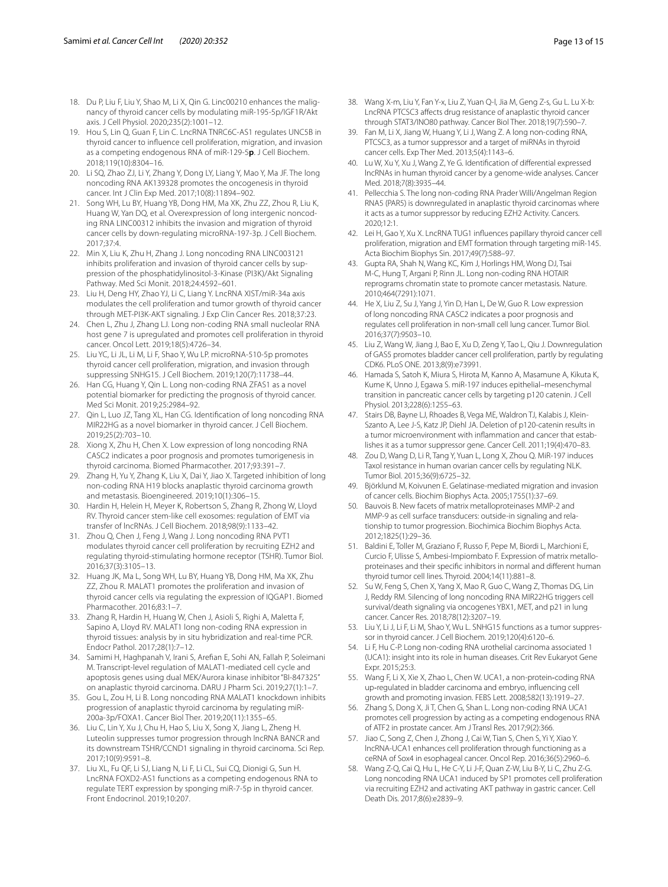- <span id="page-12-4"></span>18. Du P, Liu F, Liu Y, Shao M, Li X, Qin G. Linc00210 enhances the malignancy of thyroid cancer cells by modulating miR-195-5p/IGF1R/Akt axis. J Cell Physiol. 2020;235(2):1001–12.
- <span id="page-12-5"></span>19. Hou S, Lin Q, Guan F, Lin C. LncRNA TNRC6C-AS1 regulates UNC5B in thyroid cancer to infuence cell proliferation, migration, and invasion as a competing endogenous RNA of miR-129-5**p**. J Cell Biochem. 2018;119(10):8304–16.
- <span id="page-12-6"></span>20. Li SQ, Zhao ZJ, Li Y, Zhang Y, Dong LY, Liang Y, Mao Y, Ma JF. The long noncoding RNA AK139328 promotes the oncogenesis in thyroid cancer. Int J Clin Exp Med. 2017;10(8):11894–902.
- <span id="page-12-7"></span>21. Song WH, Lu BY, Huang YB, Dong HM, Ma XK, Zhu ZZ, Zhou R, Liu K, Huang W, Yan DQ, et al. Overexpression of long intergenic noncoding RNA LINC00312 inhibits the invasion and migration of thyroid cancer cells by down-regulating microRNA-197-3p. J Cell Biochem. 2017;37:4.
- <span id="page-12-8"></span>22. Min X, Liu K, Zhu H, Zhang J. Long noncoding RNA LINC003121 inhibits proliferation and invasion of thyroid cancer cells by suppression of the phosphatidylinositol-3-Kinase (PI3K)/Akt Signaling Pathway. Med Sci Monit. 2018;24:4592–601.
- <span id="page-12-9"></span>23. Liu H, Deng HY, Zhao YJ, Li C, Liang Y. LncRNA XIST/miR-34a axis modulates the cell proliferation and tumor growth of thyroid cancer through MET-PI3K-AKT signaling. J Exp Clin Cancer Res. 2018;37:23.
- <span id="page-12-10"></span>24. Chen L, Zhu J, Zhang LJ. Long non-coding RNA small nucleolar RNA host gene 7 is upregulated and promotes cell proliferation in thyroid cancer. Oncol Lett. 2019;18(5):4726–34.
- <span id="page-12-11"></span>25. Liu YC, Li JL, Li M, Li F, Shao Y, Wu LP. microRNA-510-5p promotes thyroid cancer cell proliferation, migration, and invasion through suppressing SNHG15. J Cell Biochem. 2019;120(7):11738–44.
- <span id="page-12-12"></span>26. Han CG, Huang Y, Qin L. Long non-coding RNA ZFAS1 as a novel potential biomarker for predicting the prognosis of thyroid cancer. Med Sci Monit. 2019;25:2984–92.
- <span id="page-12-13"></span>27. Qin L, Luo JZ, Tang XL, Han CG. Identifcation of long noncoding RNA MIR22HG as a novel biomarker in thyroid cancer. J Cell Biochem. 2019;25(2):703–10.
- <span id="page-12-2"></span>28. Xiong X, Zhu H, Chen X. Low expression of long noncoding RNA CASC2 indicates a poor prognosis and promotes tumorigenesis in thyroid carcinoma. Biomed Pharmacother. 2017;93:391–7.
- <span id="page-12-14"></span>29. Zhang H, Yu Y, Zhang K, Liu X, Dai Y, Jiao X. Targeted inhibition of long non-coding RNA H19 blocks anaplastic thyroid carcinoma growth and metastasis. Bioengineered. 2019;10(1):306–15.
- <span id="page-12-15"></span>30. Hardin H, Helein H, Meyer K, Robertson S, Zhang R, Zhong W, Lloyd RV. Thyroid cancer stem-like cell exosomes: regulation of EMT via transfer of lncRNAs. J Cell Biochem. 2018;98(9):1133–42.
- <span id="page-12-16"></span>31. Zhou Q, Chen J, Feng J, Wang J. Long noncoding RNA PVT1 modulates thyroid cancer cell proliferation by recruiting EZH2 and regulating thyroid-stimulating hormone receptor (TSHR). Tumor Biol. 2016;37(3):3105–13.
- <span id="page-12-17"></span>32. Huang JK, Ma L, Song WH, Lu BY, Huang YB, Dong HM, Ma XK, Zhu ZZ, Zhou R. MALAT1 promotes the proliferation and invasion of thyroid cancer cells via regulating the expression of IQGAP1. Biomed Pharmacother. 2016;83:1–7.
- <span id="page-12-18"></span>33. Zhang R, Hardin H, Huang W, Chen J, Asioli S, Righi A, Maletta F, Sapino A, Lloyd RV. MALAT1 long non-coding RNA expression in thyroid tissues: analysis by in situ hybridization and real-time PCR. Endocr Pathol. 2017;28(1):7–12.
- <span id="page-12-19"></span>34. Samimi H, Haghpanah V, Irani S, Arefan E, Sohi AN, Fallah P, Soleimani M. Transcript-level regulation of MALAT1-mediated cell cycle and apoptosis genes using dual MEK/Aurora kinase inhibitor "BI-847325" on anaplastic thyroid carcinoma. DARU J Pharm Sci. 2019;27(1):1–7.
- <span id="page-12-20"></span>35. Gou L, Zou H, Li B. Long noncoding RNA MALAT1 knockdown inhibits progression of anaplastic thyroid carcinoma by regulating miR-200a-3p/FOXA1. Cancer Biol Ther. 2019;20(11):1355–65.
- <span id="page-12-21"></span>36. Liu C, Lin Y, Xu J, Chu H, Hao S, Liu X, Song X, Jiang L, Zheng H. Luteolin suppresses tumor progression through lncRNA BANCR and its downstream TSHR/CCND1 signaling in thyroid carcinoma. Sci Rep. 2017;10(9):9591–8.
- <span id="page-12-22"></span>37. Liu XL, Fu QF, Li SJ, Liang N, Li F, Li CL, Sui CQ, Dionigi G, Sun H. LncRNA FOXD2-AS1 functions as a competing endogenous RNA to regulate TERT expression by sponging miR-7-5p in thyroid cancer. Front Endocrinol. 2019;10:207.
- <span id="page-12-23"></span>38. Wang X-m, Liu Y, Fan Y-x, Liu Z, Yuan Q-l, Jia M, Geng Z-s, Gu L. Lu X-b: LncRNA PTCSC3 afects drug resistance of anaplastic thyroid cancer through STAT3/INO80 pathway. Cancer Biol Ther. 2018;19(7):590–7.
- <span id="page-12-24"></span>39. Fan M, Li X, Jiang W, Huang Y, Li J, Wang Z. A long non-coding RNA, PTCSC3, as a tumor suppressor and a target of miRNAs in thyroid cancer cells. Exp Ther Med. 2013;5(4):1143–6.
- <span id="page-12-25"></span>40. Lu W, Xu Y, Xu J, Wang Z, Ye G. Identifcation of diferential expressed lncRNAs in human thyroid cancer by a genome-wide analyses. Cancer Med. 2018;7(8):3935–44.
- <span id="page-12-26"></span>41. Pellecchia S. The long non-coding RNA Prader Willi/Angelman Region RNA5 (PAR5) is downregulated in anaplastic thyroid carcinomas where it acts as a tumor suppressor by reducing EZH2 Activity. Cancers. 2020;12:1.
- <span id="page-12-27"></span>42. Lei H, Gao Y, Xu X. LncRNA TUG1 infuences papillary thyroid cancer cell proliferation, migration and EMT formation through targeting miR-145. Acta Biochim Biophys Sin. 2017;49(7):588–97.
- <span id="page-12-0"></span>43. Gupta RA, Shah N, Wang KC, Kim J, Horlings HM, Wong DJ, Tsai M-C, Hung T, Argani P, Rinn JL. Long non-coding RNA HOTAIR reprograms chromatin state to promote cancer metastasis. Nature. 2010;464(7291):1071.
- <span id="page-12-1"></span>44. He X, Liu Z, Su J, Yang J, Yin D, Han L, De W, Guo R. Low expression of long noncoding RNA CASC2 indicates a poor prognosis and regulates cell proliferation in non-small cell lung cancer. Tumor Biol. 2016;37(7):9503–10.
- <span id="page-12-3"></span>45. Liu Z, Wang W, Jiang J, Bao E, Xu D, Zeng Y, Tao L, Qiu J. Downregulation of GAS5 promotes bladder cancer cell proliferation, partly by regulating CDK6. PLoS ONE. 2013;8(9):e73991.
- <span id="page-12-28"></span>46. Hamada S, Satoh K, Miura S, Hirota M, Kanno A, Masamune A, Kikuta K, Kume K, Unno J, Egawa S. miR-197 induces epithelial–mesenchymal transition in pancreatic cancer cells by targeting p120 catenin. J Cell Physiol. 2013;228(6):1255–63.
- <span id="page-12-29"></span>47. Stairs DB, Bayne LJ, Rhoades B, Vega ME, Waldron TJ, Kalabis J, Klein-Szanto A, Lee J-S, Katz JP, Diehl JA. Deletion of p120-catenin results in a tumor microenvironment with inflammation and cancer that establishes it as a tumor suppressor gene. Cancer Cell. 2011;19(4):470–83.
- <span id="page-12-30"></span>Zou D, Wang D, Li R, Tang Y, Yuan L, Long X, Zhou Q. MiR-197 induces Taxol resistance in human ovarian cancer cells by regulating NLK. Tumor Biol. 2015;36(9):6725–32.
- <span id="page-12-31"></span>49. Björklund M, Koivunen E. Gelatinase-mediated migration and invasion of cancer cells. Biochim Biophys Acta. 2005;1755(1):37–69.
- 50. Bauvois B. New facets of matrix metalloproteinases MMP-2 and MMP-9 as cell surface transducers: outside-in signaling and relationship to tumor progression. Biochimica Biochim Biophys Acta. 2012;1825(1):29–36.
- <span id="page-12-32"></span>51. Baldini E, Toller M, Graziano F, Russo F, Pepe M, Biordi L, Marchioni E, Curcio F, Ulisse S, Ambesi-Impiombato F. Expression of matrix metallo‑ proteinases and their specifc inhibitors in normal and diferent human thyroid tumor cell lines. Thyroid. 2004;14(11):881–8.
- <span id="page-12-33"></span>52. Su W, Feng S, Chen X, Yang X, Mao R, Guo C, Wang Z, Thomas DG, Lin J, Reddy RM. Silencing of long noncoding RNA MIR22HG triggers cell survival/death signaling via oncogenes YBX1, MET, and p21 in lung cancer. Cancer Res. 2018;78(12):3207–19.
- <span id="page-12-34"></span>53. Liu Y, Li J, Li F, Li M, Shao Y, Wu L. SNHG15 functions as a tumor suppres‑ sor in thyroid cancer. J Cell Biochem. 2019;120(4):6120–6.
- <span id="page-12-35"></span>54. Li F, Hu C-P. Long non-coding RNA urothelial carcinoma associated 1 (UCA1): insight into its role in human diseases. Crit Rev Eukaryot Gene Expr. 2015;25:3.
- <span id="page-12-36"></span>55. Wang F, Li X, Xie X, Zhao L, Chen W. UCA1, a non-protein‐coding RNA up‐regulated in bladder carcinoma and embryo, infuencing cell growth and promoting invasion. FEBS Lett. 2008;582(13):1919–27.
- <span id="page-12-37"></span>56. Zhang S, Dong X, Ji T, Chen G, Shan L. Long non-coding RNA UCA1 promotes cell progression by acting as a competing endogenous RNA of ATF2 in prostate cancer. Am J Transl Res. 2017;9(2):366.
- 57. Jiao C, Song Z, Chen J, Zhong J, Cai W, Tian S, Chen S, Yi Y, Xiao Y. lncRNA-UCA1 enhances cell proliferation through functioning as a ceRNA of Sox4 in esophageal cancer. Oncol Rep. 2016;36(5):2960–6.
- <span id="page-12-38"></span>Wang Z-Q, Cai Q, Hu L, He C-Y, Li J-F, Quan Z-W, Liu B-Y, Li C, Zhu Z-G. Long noncoding RNA UCA1 induced by SP1 promotes cell proliferation via recruiting EZH2 and activating AKT pathway in gastric cancer. Cell Death Dis. 2017;8(6):e2839–9.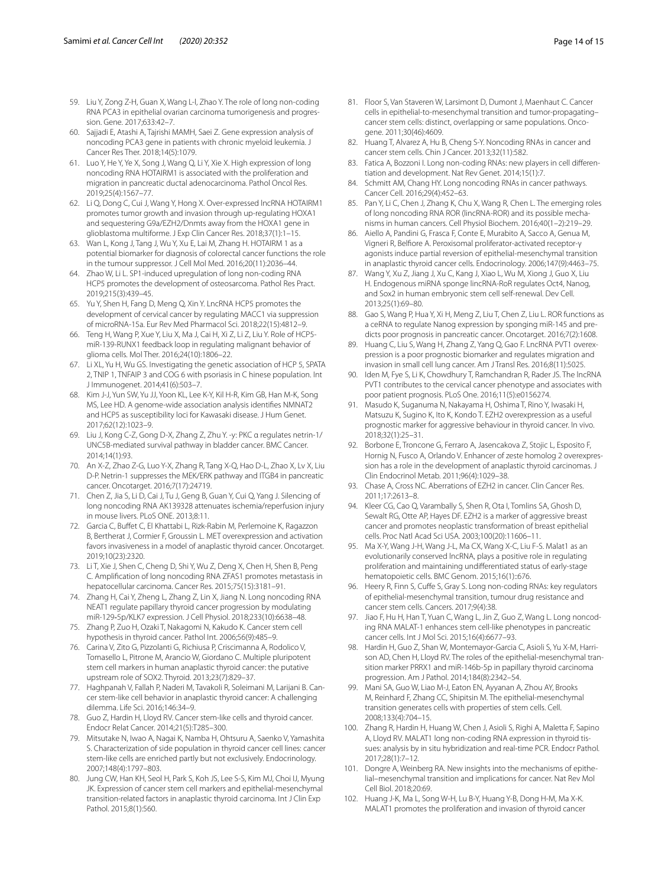- <span id="page-13-0"></span>59. Liu Y, Zong Z-H, Guan X, Wang L-l, Zhao Y. The role of long non-coding RNA PCA3 in epithelial ovarian carcinoma tumorigenesis and progression. Gene. 2017;633:42–7.
- 60. Sajjadi E, Atashi A, Tajrishi MAMH, Saei Z. Gene expression analysis of noncoding PCA3 gene in patients with chronic myeloid leukemia. J Cancer Res Ther. 2018;14(5):1079.
- <span id="page-13-2"></span>61. Luo Y, He Y, Ye X, Song J, Wang Q, Li Y, Xie X. High expression of long noncoding RNA HOTAIRM1 is associated with the proliferation and migration in pancreatic ductal adenocarcinoma. Pathol Oncol Res. 2019;25(4):1567–77.
- <span id="page-13-1"></span>62. Li Q, Dong C, Cui J, Wang Y, Hong X. Over-expressed lncRNA HOTAIRM1 promotes tumor growth and invasion through up-regulating HOXA1 and sequestering G9a/EZH2/Dnmts away from the HOXA1 gene in glioblastoma multiforme. J Exp Clin Cancer Res. 2018;37(1):1–15.
- <span id="page-13-3"></span>63. Wan L, Kong J, Tang J, Wu Y, Xu E, Lai M, Zhang H. HOTAIRM 1 as a potential biomarker for diagnosis of colorectal cancer functions the role in the tumour suppressor. J Cell Mol Med. 2016;20(11):2036–44.
- <span id="page-13-4"></span>64. Zhao W, Li L. SP1-induced upregulation of long non-coding RNA HCP5 promotes the development of osteosarcoma. Pathol Res Pract. 2019;215(3):439–45.
- <span id="page-13-5"></span>65. Yu Y, Shen H, Fang D, Meng Q, Xin Y. LncRNA HCP5 promotes the development of cervical cancer by regulating MACC1 via suppression of microRNA-15a. Eur Rev Med Pharmacol Sci. 2018;22(15):4812–9.
- <span id="page-13-6"></span>66. Teng H, Wang P, Xue Y, Liu X, Ma J, Cai H, Xi Z, Li Z, Liu Y. Role of HCP5miR-139-RUNX1 feedback loop in regulating malignant behavior of glioma cells. Mol Ther. 2016;24(10):1806–22.
- <span id="page-13-7"></span>67. Li XL, Yu H, Wu GS. Investigating the genetic association of HCP 5, SPATA 2, TNIP 1, TNFAIP 3 and COG 6 with psoriasis in C hinese population. Int J Immunogenet. 2014;41(6):503–7.
- <span id="page-13-8"></span>68. Kim J-J, Yun SW, Yu JJ, Yoon KL, Lee K-Y, Kil H-R, Kim GB, Han M-K, Song MS, Lee HD. A genome-wide association analysis identifes NMNAT2 and HCP5 as susceptibility loci for Kawasaki disease. J Hum Genet. 2017;62(12):1023–9.
- <span id="page-13-9"></span>69. Liu J, Kong C-Z, Gong D-X, Zhang Z, Zhu Y. -y: PKC α regulates netrin-1/ UNC5B-mediated survival pathway in bladder cancer. BMC Cancer. 2014;14(1):93.
- <span id="page-13-10"></span>70. An X-Z, Zhao Z-G, Luo Y-X, Zhang R, Tang X-Q, Hao D-L, Zhao X, Lv X, Liu D-P. Netrin-1 suppresses the MEK/ERK pathway and ITGB4 in pancreatic cancer. Oncotarget. 2016;7(17):24719.
- <span id="page-13-11"></span>71. Chen Z, Jia S, Li D, Cai J, Tu J, Geng B, Guan Y, Cui Q, Yang J. Silencing of long noncoding RNA AK139328 attenuates ischemia/reperfusion injury in mouse livers. PLoS ONE. 2013;8:11.
- <span id="page-13-12"></span>72. Garcia C, Bufet C, El Khattabi L, Rizk-Rabin M, Perlemoine K, Ragazzon B, Bertherat J, Cormier F, Groussin L. MET overexpression and activation favors invasiveness in a model of anaplastic thyroid cancer. Oncotarget. 2019;10(23):2320.
- <span id="page-13-13"></span>73. Li T, Xie J, Shen C, Cheng D, Shi Y, Wu Z, Deng X, Chen H, Shen B, Peng C. Amplifcation of long noncoding RNA ZFAS1 promotes metastasis in hepatocellular carcinoma. Cancer Res. 2015;75(15):3181–91.
- <span id="page-13-14"></span>74. Zhang H, Cai Y, Zheng L, Zhang Z, Lin X, Jiang N. Long noncoding RNA NEAT1 regulate papillary thyroid cancer progression by modulating miR-129‐5p/KLK7 expression. J Cell Physiol. 2018;233(10):6638–48.
- <span id="page-13-15"></span>75. Zhang P, Zuo H, Ozaki T, Nakagomi N, Kakudo K. Cancer stem cell hypothesis in thyroid cancer. Pathol Int. 2006;56(9):485–9.
- 76. Carina V, Zito G, Pizzolanti G, Richiusa P, Criscimanna A, Rodolico V, Tomasello L, Pitrone M, Arancio W, Giordano C. Multiple pluripotent stem cell markers in human anaplastic thyroid cancer: the putative upstream role of SOX2. Thyroid. 2013;23(7):829–37.
- 77. Haghpanah V, Fallah P, Naderi M, Tavakoli R, Soleimani M, Larijani B. Can‑ cer stem-like cell behavior in anaplastic thyroid cancer: A challenging dilemma. Life Sci. 2016;146:34–9.
- <span id="page-13-16"></span>78. Guo Z, Hardin H, Lloyd RV. Cancer stem-like cells and thyroid cancer. Endocr Relat Cancer. 2014;21(5):T285–300.
- 79. Mitsutake N, Iwao A, Nagai K, Namba H, Ohtsuru A, Saenko V, Yamashita S. Characterization of side population in thyroid cancer cell lines: cancer stem-like cells are enriched partly but not exclusively. Endocrinology. 2007;148(4):1797–803.
- <span id="page-13-17"></span>80. Jung CW, Han KH, Seol H, Park S, Koh JS, Lee S-S, Kim MJ, Choi IJ, Myung JK. Expression of cancer stem cell markers and epithelial-mesenchymal transition-related factors in anaplastic thyroid carcinoma. Int J Clin Exp Pathol. 2015;8(1):560.
- <span id="page-13-18"></span>81. Floor S, Van Staveren W, Larsimont D, Dumont J, Maenhaut C. Cancer cells in epithelial-to-mesenchymal transition and tumor-propagating– cancer stem cells: distinct, overlapping or same populations. Oncogene. 2011;30(46):4609.
- <span id="page-13-19"></span>82. Huang T, Alvarez A, Hu B, Cheng S-Y. Noncoding RNAs in cancer and cancer stem cells. Chin J Cancer. 2013;32(11):582.
- 83. Fatica A, Bozzoni I. Long non-coding RNAs: new players in cell differentiation and development. Nat Rev Genet. 2014;15(1):7.
- <span id="page-13-20"></span>Schmitt AM, Chang HY. Long noncoding RNAs in cancer pathways. Cancer Cell. 2016;29(4):452–63.
- <span id="page-13-21"></span>85. Pan Y, Li C, Chen J, Zhang K, Chu X, Wang R, Chen L. The emerging roles of long noncoding RNA ROR (lincRNA-ROR) and its possible mechanisms in human cancers. Cell Physiol Biochem. 2016;40(1–2):219–29.
- <span id="page-13-22"></span>86. Aiello A, Pandini G, Frasca F, Conte E, Murabito A, Sacco A, Genua M, Vigneri R, Belfore A. Peroxisomal proliferator-activated receptor-γ agonists induce partial reversion of epithelial-mesenchymal transition in anaplastic thyroid cancer cells. Endocrinology. 2006;147(9):4463–75.
- <span id="page-13-23"></span>87. Wang Y, Xu Z, Jiang J, Xu C, Kang J, Xiao L, Wu M, Xiong J, Guo X, Liu H. Endogenous miRNA sponge lincRNA-RoR regulates Oct4, Nanog, and Sox2 in human embryonic stem cell self-renewal. Dev Cell. 2013;25(1):69–80.
- <span id="page-13-24"></span>88. Gao S, Wang P, Hua Y, Xi H, Meng Z, Liu T, Chen Z, Liu L. ROR functions as a ceRNA to regulate Nanog expression by sponging miR-145 and predicts poor prognosis in pancreatic cancer. Oncotarget. 2016;7(2):1608.
- <span id="page-13-25"></span>89. Huang C, Liu S, Wang H, Zhang Z, Yang Q, Gao F. LncRNA PVT1 overexpression is a poor prognostic biomarker and regulates migration and invasion in small cell lung cancer. Am J Transl Res. 2016;8(11):5025.
- <span id="page-13-26"></span>90. Iden M, Fye S, Li K, Chowdhury T, Ramchandran R, Rader JS. The lncRNA PVT1 contributes to the cervical cancer phenotype and associates with poor patient prognosis. PLoS One. 2016;11(5):e0156274.
- <span id="page-13-27"></span>91. Masudo K, Suganuma N, Nakayama H, Oshima T, Rino Y, Iwasaki H, Matsuzu K, Sugino K, Ito K, Kondo T. EZH2 overexpression as a useful prognostic marker for aggressive behaviour in thyroid cancer. In vivo. 2018;32(1):25–31.
- 92. Borbone E, Troncone G, Ferraro A, Jasencakova Z, Stojic L, Esposito F, Hornig N, Fusco A, Orlando V. Enhancer of zeste homolog 2 overexpression has a role in the development of anaplastic thyroid carcinomas. J Clin Endocrinol Metab. 2011;96(4):1029–38.
- 93. Chase A, Cross NC. Aberrations of EZH2 in cancer. Clin Cancer Res. 2011;17:2613–8.
- <span id="page-13-28"></span>94. Kleer CG, Cao Q, Varambally S, Shen R, Ota I, Tomlins SA, Ghosh D, Sewalt RG, Otte AP, Hayes DF. EZH2 is a marker of aggressive breast cancer and promotes neoplastic transformation of breast epithelial cells. Proc Natl Acad Sci USA. 2003;100(20):11606–11.
- <span id="page-13-29"></span>95. Ma X-Y, Wang J-H, Wang J-L, Ma CX, Wang X-C, Liu F-S. Malat1 as an evolutionarily conserved lncRNA, plays a positive role in regulating proliferation and maintaining undiferentiated status of early-stage hematopoietic cells. BMC Genom. 2015;16(1)::676.
- <span id="page-13-30"></span>96. Heery R, Finn S, Cuffe S, Gray S. Long non-coding RNAs: key regulators of epithelial-mesenchymal transition, tumour drug resistance and cancer stem cells. Cancers. 2017;9(4):38.
- <span id="page-13-31"></span>97. Jiao F, Hu H, Han T, Yuan C, Wang L, Jin Z, Guo Z, Wang L. Long noncoding RNA MALAT-1 enhances stem cell-like phenotypes in pancreatic cancer cells. Int J Mol Sci. 2015;16(4):6677–93.
- <span id="page-13-32"></span>98. Hardin H, Guo Z, Shan W, Montemayor-Garcia C, Asioli S, Yu X-M, Harrison AD, Chen H, Lloyd RV. The roles of the epithelial-mesenchymal transition marker PRRX1 and miR-146b-5p in papillary thyroid carcinoma progression. Am J Pathol. 2014;184(8):2342–54.
- 99. Mani SA, Guo W, Liao M-J, Eaton EN, Ayyanan A, Zhou AY, Brooks M, Reinhard F, Zhang CC, Shipitsin M. The epithelial-mesenchymal transition generates cells with properties of stem cells. Cell. 2008;133(4):704–15.
- <span id="page-13-34"></span>100. Zhang R, Hardin H, Huang W, Chen J, Asioli S, Righi A, Maletta F, Sapino A, Lloyd RV. MALAT1 long non-coding RNA expression in thyroid tissues: analysis by in situ hybridization and real-time PCR. Endocr Pathol. 2017;28(1):7–12.
- <span id="page-13-33"></span>101. Dongre A, Weinberg RA. New insights into the mechanisms of epithelial–mesenchymal transition and implications for cancer. Nat Rev Mol Cell Biol. 2018;20:69.
- <span id="page-13-35"></span>102. Huang J-K, Ma L, Song W-H, Lu B-Y, Huang Y-B, Dong H-M, Ma X-K. MALAT1 promotes the proliferation and invasion of thyroid cancer